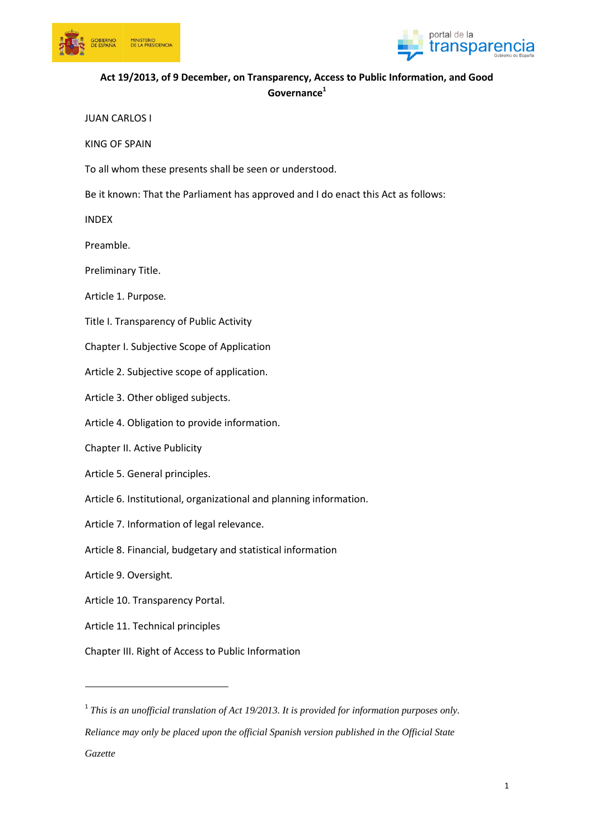



# **Act 19/2013, of 9 December, on Transparency, Access to Public Information, and Good Governance<sup>1</sup>**

JUAN CARLOS I

KING OF SPAIN

To all whom these presents shall be seen or understood.

Be it known: That the Parliament has approved and I do enact this Act as follows:

INDEX

Preamble.

Preliminary Title.

Article 1. Purpose*.*

Title I. Transparency of Public Activity

Chapter I. Subjective Scope of Application

Article 2. Subjective scope of application.

Article 3. Other obliged subjects.

Article 4. Obligation to provide information.

Chapter II. Active Publicity

Article 5. General principles.

Article 6. Institutional, organizational and planning information.

Article 7. Information of legal relevance.

Article 8. Financial, budgetary and statistical information

Article 9. Oversight*.*

**.** 

Article 10. Transparency Portal.

Article 11. Technical principles

Chapter III. Right of Access to Public Information

<sup>1</sup> This is an unofficial translation of Act 19/2013. It is provided for information purposes only. *Reliance may only be placed upon the official Spanish version published in the Official State Gazette*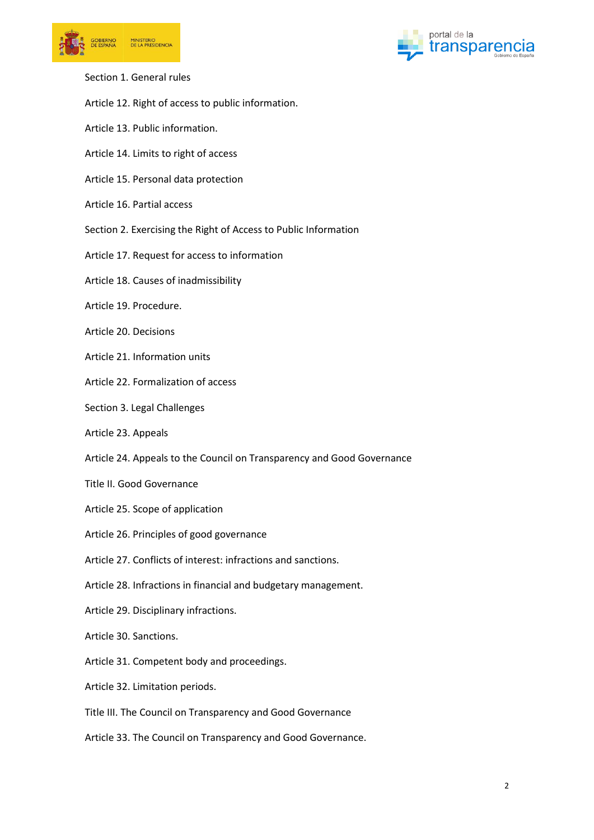



- Section 1. General rules
- Article 12. Right of access to public information.
- Article 13. Public information.
- Article 14. Limits to right of access
- Article 15. Personal data protection
- Article 16. Partial access
- Section 2. Exercising the Right of Access to Public Information
- Article 17. Request for access to information
- Article 18. Causes of inadmissibility
- Article 19. Procedure.
- Article 20. Decisions
- Article 21. Information units
- Article 22. Formalization of access
- Section 3. Legal Challenges
- Article 23. Appeals
- Article 24. Appeals to the Council on Transparency and Good Governance
- Title II. Good Governance
- Article 25. Scope of application
- Article 26. Principles of good governance
- Article 27. Conflicts of interest: infractions and sanctions.
- Article 28. Infractions in financial and budgetary management.
- Article 29. Disciplinary infractions.
- Article 30. Sanctions.
- Article 31. Competent body and proceedings.
- Article 32. Limitation periods.
- Title III. The Council on Transparency and Good Governance
- Article 33. The Council on Transparency and Good Governance.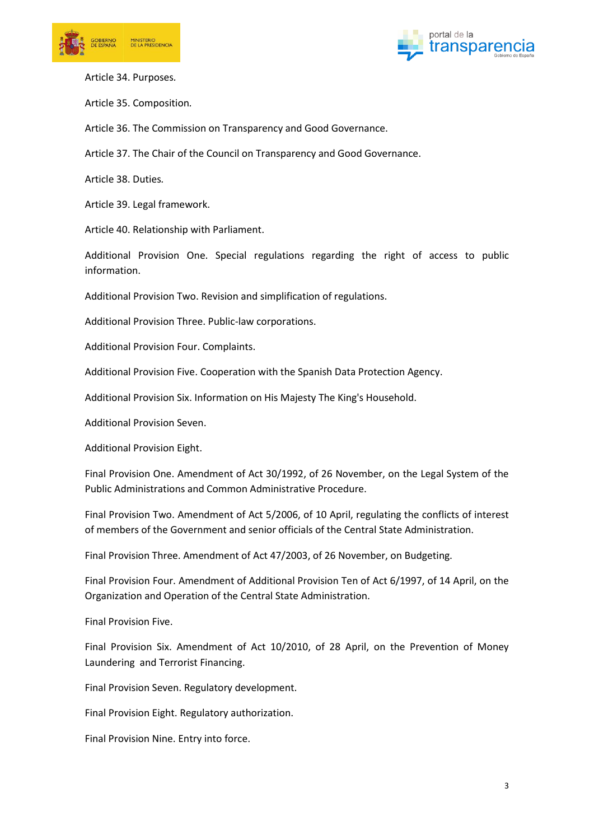



Article 34. Purposes*.*

Article 35. Composition*.*

Article 36. The Commission on Transparency and Good Governance.

Article 37. The Chair of the Council on Transparency and Good Governance.

Article 38. Duties*.*

Article 39. Legal framework.

Article 40. Relationship with Parliament.

Additional Provision One. Special regulations regarding the right of access to public information.

Additional Provision Two. Revision and simplification of regulations.

Additional Provision Three. Public-law corporations.

Additional Provision Four. Complaints.

Additional Provision Five. Cooperation with the Spanish Data Protection Agency.

Additional Provision Six. Information on His Majesty The King's Household.

Additional Provision Seven.

Additional Provision Eight.

Final Provision One. Amendment of Act 30/1992, of 26 November, on the Legal System of the Public Administrations and Common Administrative Procedure.

Final Provision Two. Amendment of Act 5/2006, of 10 April, regulating the conflicts of interest of members of the Government and senior officials of the Central State Administration.

Final Provision Three. Amendment of Act 47/2003, of 26 November, on Budgeting.

Final Provision Four. Amendment of Additional Provision Ten of Act 6/1997, of 14 April, on the Organization and Operation of the Central State Administration.

Final Provision Five.

Final Provision Six. Amendment of Act 10/2010, of 28 April, on the Prevention of Money Laundering and Terrorist Financing.

Final Provision Seven. Regulatory development.

Final Provision Eight. Regulatory authorization.

Final Provision Nine. Entry into force.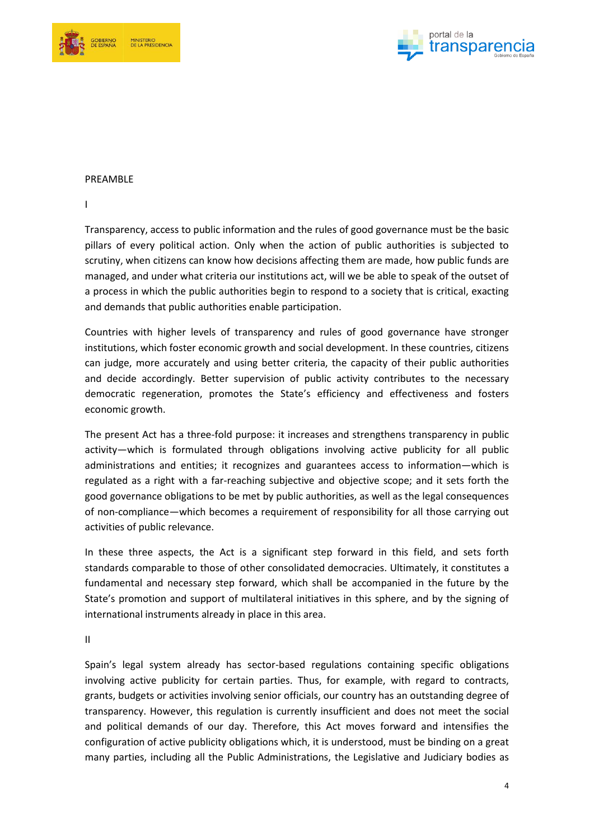



#### PREAMBLE

I

Transparency, access to public information and the rules of good governance must be the basic pillars of every political action. Only when the action of public authorities is subjected to scrutiny, when citizens can know how decisions affecting them are made, how public funds are managed, and under what criteria our institutions act, will we be able to speak of the outset of a process in which the public authorities begin to respond to a society that is critical, exacting and demands that public authorities enable participation.

Countries with higher levels of transparency and rules of good governance have stronger institutions, which foster economic growth and social development. In these countries, citizens can judge, more accurately and using better criteria, the capacity of their public authorities and decide accordingly. Better supervision of public activity contributes to the necessary democratic regeneration, promotes the State's efficiency and effectiveness and fosters economic growth.

The present Act has a three-fold purpose: it increases and strengthens transparency in public activity—which is formulated through obligations involving active publicity for all public administrations and entities; it recognizes and guarantees access to information—which is regulated as a right with a far-reaching subjective and objective scope; and it sets forth the good governance obligations to be met by public authorities, as well as the legal consequences of non-compliance—which becomes a requirement of responsibility for all those carrying out activities of public relevance.

In these three aspects, the Act is a significant step forward in this field, and sets forth standards comparable to those of other consolidated democracies. Ultimately, it constitutes a fundamental and necessary step forward, which shall be accompanied in the future by the State's promotion and support of multilateral initiatives in this sphere, and by the signing of international instruments already in place in this area.

II

Spain's legal system already has sector-based regulations containing specific obligations involving active publicity for certain parties. Thus, for example, with regard to contracts, grants, budgets or activities involving senior officials, our country has an outstanding degree of transparency. However, this regulation is currently insufficient and does not meet the social and political demands of our day. Therefore, this Act moves forward and intensifies the configuration of active publicity obligations which, it is understood, must be binding on a great many parties, including all the Public Administrations, the Legislative and Judiciary bodies as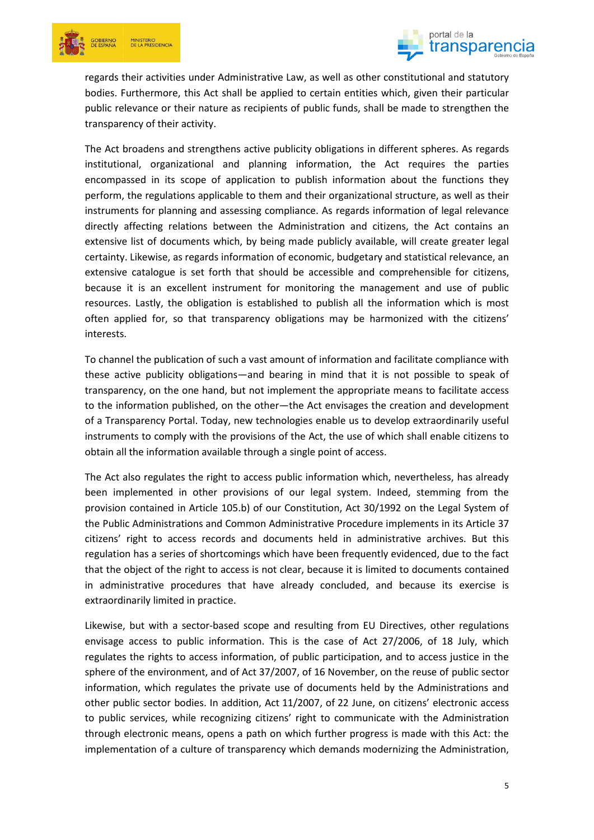



regards their activities under Administrative Law, as well as other constitutional and statutory bodies. Furthermore, this Act shall be applied to certain entities which, given their particular public relevance or their nature as recipients of public funds, shall be made to strengthen the transparency of their activity.

The Act broadens and strengthens active publicity obligations in different spheres. As regards institutional, organizational and planning information, the Act requires the parties encompassed in its scope of application to publish information about the functions they perform, the regulations applicable to them and their organizational structure, as well as their instruments for planning and assessing compliance. As regards information of legal relevance directly affecting relations between the Administration and citizens, the Act contains an extensive list of documents which, by being made publicly available, will create greater legal certainty. Likewise, as regards information of economic, budgetary and statistical relevance, an extensive catalogue is set forth that should be accessible and comprehensible for citizens, because it is an excellent instrument for monitoring the management and use of public resources. Lastly, the obligation is established to publish all the information which is most often applied for, so that transparency obligations may be harmonized with the citizens' interests.

To channel the publication of such a vast amount of information and facilitate compliance with these active publicity obligations—and bearing in mind that it is not possible to speak of transparency, on the one hand, but not implement the appropriate means to facilitate access to the information published, on the other—the Act envisages the creation and development of a Transparency Portal. Today, new technologies enable us to develop extraordinarily useful instruments to comply with the provisions of the Act, the use of which shall enable citizens to obtain all the information available through a single point of access.

The Act also regulates the right to access public information which, nevertheless, has already been implemented in other provisions of our legal system. Indeed, stemming from the provision contained in Article 105.b) of our Constitution, Act 30/1992 on the Legal System of the Public Administrations and Common Administrative Procedure implements in its Article 37 citizens' right to access records and documents held in administrative archives. But this regulation has a series of shortcomings which have been frequently evidenced, due to the fact that the object of the right to access is not clear, because it is limited to documents contained in administrative procedures that have already concluded, and because its exercise is extraordinarily limited in practice.

Likewise, but with a sector-based scope and resulting from EU Directives, other regulations envisage access to public information. This is the case of Act 27/2006, of 18 July, which regulates the rights to access information, of public participation, and to access justice in the sphere of the environment, and of Act 37/2007, of 16 November, on the reuse of public sector information, which regulates the private use of documents held by the Administrations and other public sector bodies. In addition, Act 11/2007, of 22 June, on citizens' electronic access to public services, while recognizing citizens' right to communicate with the Administration through electronic means, opens a path on which further progress is made with this Act: the implementation of a culture of transparency which demands modernizing the Administration,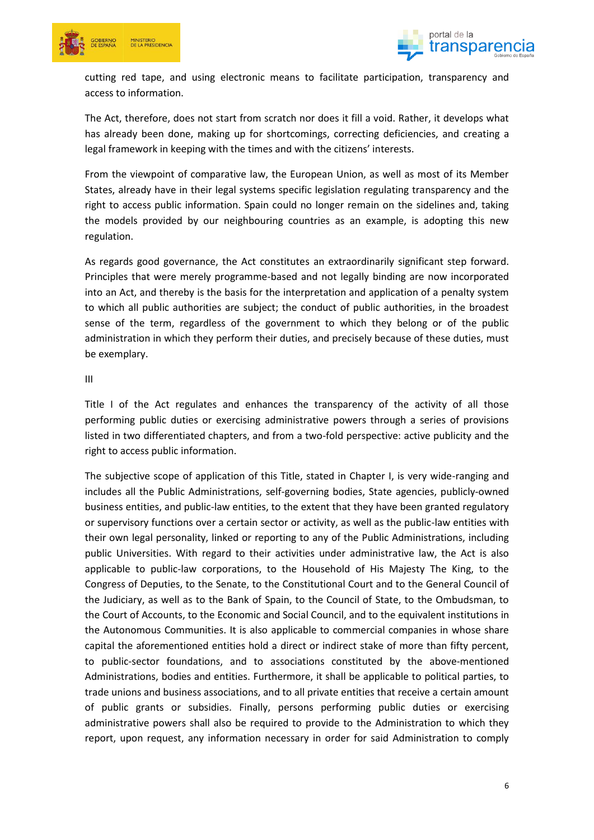



cutting red tape, and using electronic means to facilitate participation, transparency and access to information.

The Act, therefore, does not start from scratch nor does it fill a void. Rather, it develops what has already been done, making up for shortcomings, correcting deficiencies, and creating a legal framework in keeping with the times and with the citizens' interests.

From the viewpoint of comparative law, the European Union, as well as most of its Member States, already have in their legal systems specific legislation regulating transparency and the right to access public information. Spain could no longer remain on the sidelines and, taking the models provided by our neighbouring countries as an example, is adopting this new regulation.

As regards good governance, the Act constitutes an extraordinarily significant step forward. Principles that were merely programme-based and not legally binding are now incorporated into an Act, and thereby is the basis for the interpretation and application of a penalty system to which all public authorities are subject; the conduct of public authorities, in the broadest sense of the term, regardless of the government to which they belong or of the public administration in which they perform their duties, and precisely because of these duties, must be exemplary.

#### III

Title I of the Act regulates and enhances the transparency of the activity of all those performing public duties or exercising administrative powers through a series of provisions listed in two differentiated chapters, and from a two-fold perspective: active publicity and the right to access public information.

The subjective scope of application of this Title, stated in Chapter I, is very wide-ranging and includes all the Public Administrations, self-governing bodies, State agencies, publicly-owned business entities, and public-law entities, to the extent that they have been granted regulatory or supervisory functions over a certain sector or activity, as well as the public-law entities with their own legal personality, linked or reporting to any of the Public Administrations, including public Universities. With regard to their activities under administrative law, the Act is also applicable to public-law corporations, to the Household of His Majesty The King, to the Congress of Deputies, to the Senate, to the Constitutional Court and to the General Council of the Judiciary, as well as to the Bank of Spain, to the Council of State, to the Ombudsman, to the Court of Accounts, to the Economic and Social Council, and to the equivalent institutions in the Autonomous Communities. It is also applicable to commercial companies in whose share capital the aforementioned entities hold a direct or indirect stake of more than fifty percent, to public-sector foundations, and to associations constituted by the above-mentioned Administrations, bodies and entities. Furthermore, it shall be applicable to political parties, to trade unions and business associations, and to all private entities that receive a certain amount of public grants or subsidies. Finally, persons performing public duties or exercising administrative powers shall also be required to provide to the Administration to which they report, upon request, any information necessary in order for said Administration to comply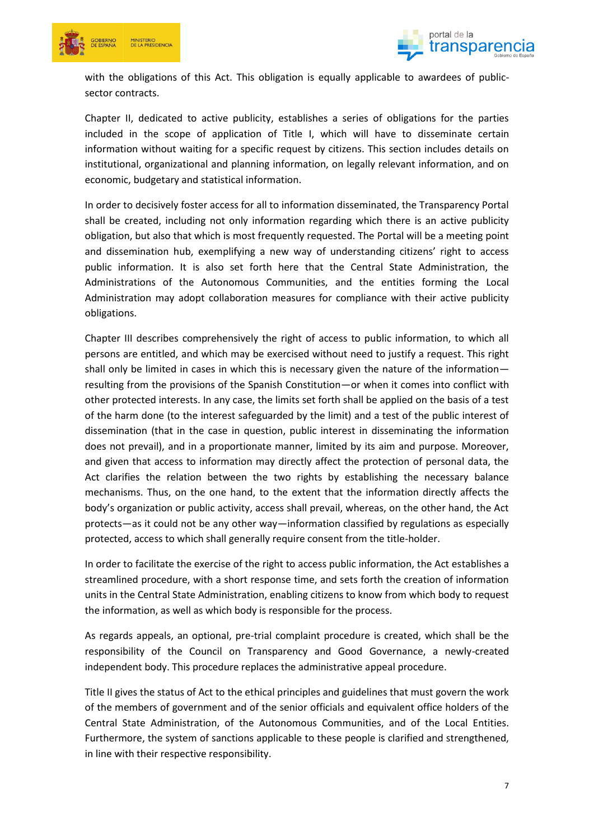



with the obligations of this Act. This obligation is equally applicable to awardees of publicsector contracts.

Chapter II, dedicated to active publicity, establishes a series of obligations for the parties included in the scope of application of Title I, which will have to disseminate certain information without waiting for a specific request by citizens. This section includes details on institutional, organizational and planning information, on legally relevant information, and on economic, budgetary and statistical information.

In order to decisively foster access for all to information disseminated, the Transparency Portal shall be created, including not only information regarding which there is an active publicity obligation, but also that which is most frequently requested. The Portal will be a meeting point and dissemination hub, exemplifying a new way of understanding citizens' right to access public information. It is also set forth here that the Central State Administration, the Administrations of the Autonomous Communities, and the entities forming the Local Administration may adopt collaboration measures for compliance with their active publicity obligations.

Chapter III describes comprehensively the right of access to public information, to which all persons are entitled, and which may be exercised without need to justify a request. This right shall only be limited in cases in which this is necessary given the nature of the information resulting from the provisions of the Spanish Constitution—or when it comes into conflict with other protected interests. In any case, the limits set forth shall be applied on the basis of a test of the harm done (to the interest safeguarded by the limit) and a test of the public interest of dissemination (that in the case in question, public interest in disseminating the information does not prevail), and in a proportionate manner, limited by its aim and purpose. Moreover, and given that access to information may directly affect the protection of personal data, the Act clarifies the relation between the two rights by establishing the necessary balance mechanisms. Thus, on the one hand, to the extent that the information directly affects the body's organization or public activity, access shall prevail, whereas, on the other hand, the Act protects—as it could not be any other way—information classified by regulations as especially protected, access to which shall generally require consent from the title-holder.

In order to facilitate the exercise of the right to access public information, the Act establishes a streamlined procedure, with a short response time, and sets forth the creation of information units in the Central State Administration, enabling citizens to know from which body to request the information, as well as which body is responsible for the process.

As regards appeals, an optional, pre-trial complaint procedure is created, which shall be the responsibility of the Council on Transparency and Good Governance, a newly-created independent body. This procedure replaces the administrative appeal procedure.

Title II gives the status of Act to the ethical principles and guidelines that must govern the work of the members of government and of the senior officials and equivalent office holders of the Central State Administration, of the Autonomous Communities, and of the Local Entities. Furthermore, the system of sanctions applicable to these people is clarified and strengthened, in line with their respective responsibility.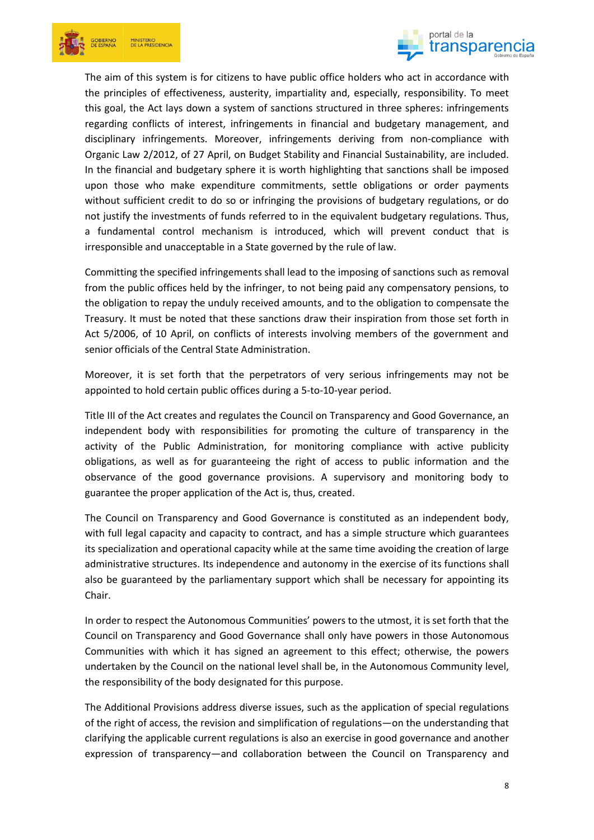



The aim of this system is for citizens to have public office holders who act in accordance with the principles of effectiveness, austerity, impartiality and, especially, responsibility. To meet this goal, the Act lays down a system of sanctions structured in three spheres: infringements regarding conflicts of interest, infringements in financial and budgetary management, and disciplinary infringements. Moreover, infringements deriving from non-compliance with Organic Law 2/2012, of 27 April, on Budget Stability and Financial Sustainability, are included. In the financial and budgetary sphere it is worth highlighting that sanctions shall be imposed upon those who make expenditure commitments, settle obligations or order payments without sufficient credit to do so or infringing the provisions of budgetary regulations, or do not justify the investments of funds referred to in the equivalent budgetary regulations. Thus, a fundamental control mechanism is introduced, which will prevent conduct that is irresponsible and unacceptable in a State governed by the rule of law.

Committing the specified infringements shall lead to the imposing of sanctions such as removal from the public offices held by the infringer, to not being paid any compensatory pensions, to the obligation to repay the unduly received amounts, and to the obligation to compensate the Treasury. It must be noted that these sanctions draw their inspiration from those set forth in Act 5/2006, of 10 April, on conflicts of interests involving members of the government and senior officials of the Central State Administration.

Moreover, it is set forth that the perpetrators of very serious infringements may not be appointed to hold certain public offices during a 5-to-10-year period.

Title III of the Act creates and regulates the Council on Transparency and Good Governance, an independent body with responsibilities for promoting the culture of transparency in the activity of the Public Administration, for monitoring compliance with active publicity obligations, as well as for guaranteeing the right of access to public information and the observance of the good governance provisions. A supervisory and monitoring body to guarantee the proper application of the Act is, thus, created.

The Council on Transparency and Good Governance is constituted as an independent body, with full legal capacity and capacity to contract, and has a simple structure which guarantees its specialization and operational capacity while at the same time avoiding the creation of large administrative structures. Its independence and autonomy in the exercise of its functions shall also be guaranteed by the parliamentary support which shall be necessary for appointing its Chair.

In order to respect the Autonomous Communities' powers to the utmost, it is set forth that the Council on Transparency and Good Governance shall only have powers in those Autonomous Communities with which it has signed an agreement to this effect; otherwise, the powers undertaken by the Council on the national level shall be, in the Autonomous Community level, the responsibility of the body designated for this purpose.

The Additional Provisions address diverse issues, such as the application of special regulations of the right of access, the revision and simplification of regulations—on the understanding that clarifying the applicable current regulations is also an exercise in good governance and another expression of transparency—and collaboration between the Council on Transparency and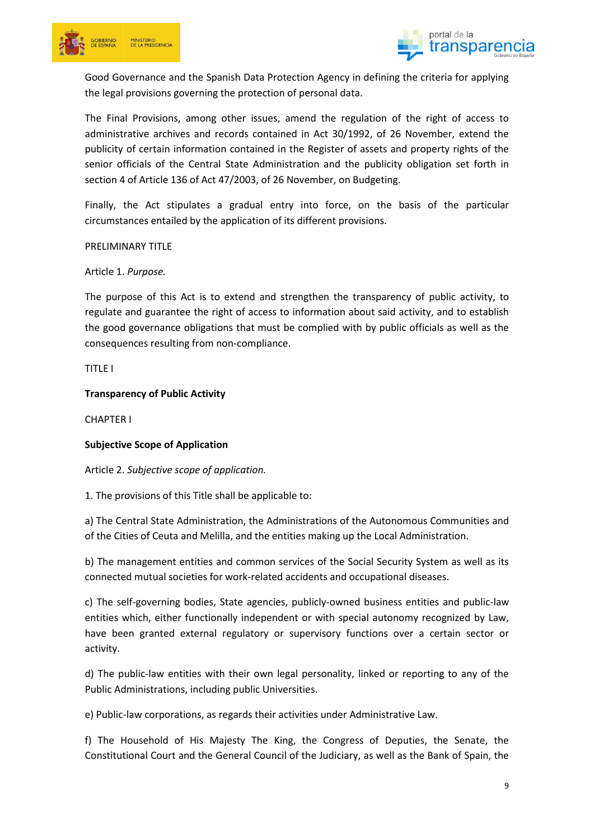



Good Governance and the Spanish Data Protection Agency in defining the criteria for applying the legal provisions governing the protection of personal data.

The Final Provisions, among other issues, amend the regulation of the right of access to administrative archives and records contained in Act 30/1992, of 26 November, extend the publicity of certain information contained in the Register of assets and property rights of the senior officials of the Central State Administration and the publicity obligation set forth in section 4 of Article 136 of Act 47/2003, of 26 November, on Budgeting.

Finally, the Act stipulates a gradual entry into force, on the basis of the particular circumstances entailed by the application of its different provisions.

PRELIMINARY TITLE

Article 1. *Purpose.*

The purpose of this Act is to extend and strengthen the transparency of public activity, to regulate and guarantee the right of access to information about said activity, and to establish the good governance obligations that must be complied with by public officials as well as the consequences resulting from non-compliance.

TITLE I

**Transparency of Public Activity**

CHAPTER I

**Subjective Scope of Application**

Article 2. *Subjective scope of application.*

1. The provisions of this Title shall be applicable to:

a) The Central State Administration, the Administrations of the Autonomous Communities and of the Cities of Ceuta and Melilla, and the entities making up the Local Administration.

b) The management entities and common services of the Social Security System as well as its connected mutual societies for work-related accidents and occupational diseases.

c) The self-governing bodies, State agencies, publicly-owned business entities and public-law entities which, either functionally independent or with special autonomy recognized by Law, have been granted external regulatory or supervisory functions over a certain sector or activity.

d) The public-law entities with their own legal personality, linked or reporting to any of the Public Administrations, including public Universities.

e) Public-law corporations, as regards their activities under Administrative Law.

f) The Household of His Majesty The King, the Congress of Deputies, the Senate, the Constitutional Court and the General Council of the Judiciary, as well as the Bank of Spain, the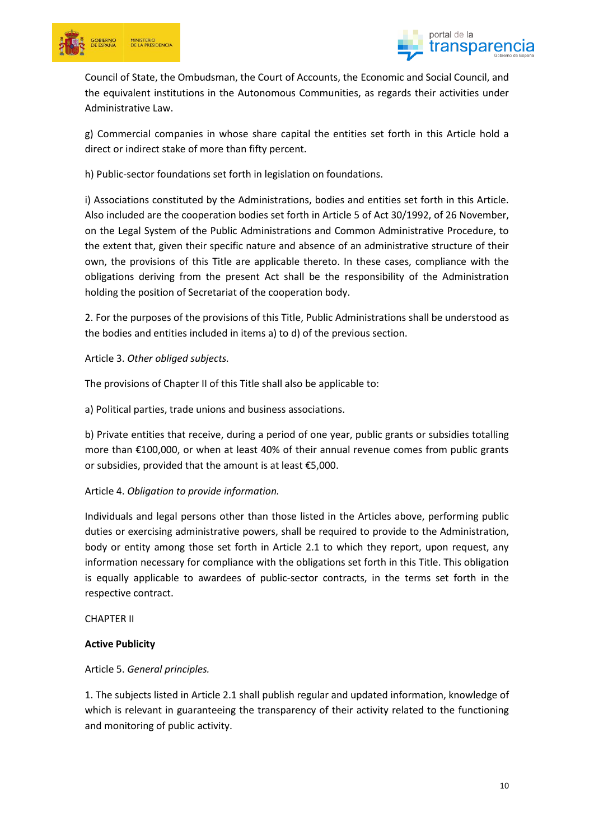



Council of State, the Ombudsman, the Court of Accounts, the Economic and Social Council, and the equivalent institutions in the Autonomous Communities, as regards their activities under Administrative Law.

g) Commercial companies in whose share capital the entities set forth in this Article hold a direct or indirect stake of more than fifty percent.

h) Public-sector foundations set forth in legislation on foundations.

i) Associations constituted by the Administrations, bodies and entities set forth in this Article. Also included are the cooperation bodies set forth in Article 5 of Act 30/1992, of 26 November, on the Legal System of the Public Administrations and Common Administrative Procedure, to the extent that, given their specific nature and absence of an administrative structure of their own, the provisions of this Title are applicable thereto. In these cases, compliance with the obligations deriving from the present Act shall be the responsibility of the Administration holding the position of Secretariat of the cooperation body.

2. For the purposes of the provisions of this Title, Public Administrations shall be understood as the bodies and entities included in items a) to d) of the previous section.

## Article 3. *Other obliged subjects.*

The provisions of Chapter II of this Title shall also be applicable to:

a) Political parties, trade unions and business associations.

b) Private entities that receive, during a period of one year, public grants or subsidies totalling more than €100,000, or when at least 40% of their annual revenue comes from public grants or subsidies, provided that the amount is at least €5,000.

#### Article 4. *Obligation to provide information.*

Individuals and legal persons other than those listed in the Articles above, performing public duties or exercising administrative powers, shall be required to provide to the Administration, body or entity among those set forth in Article 2.1 to which they report, upon request, any information necessary for compliance with the obligations set forth in this Title. This obligation is equally applicable to awardees of public-sector contracts, in the terms set forth in the respective contract.

CHAPTER II

#### **Active Publicity**

#### Article 5. *General principles.*

1. The subjects listed in Article 2.1 shall publish regular and updated information, knowledge of which is relevant in guaranteeing the transparency of their activity related to the functioning and monitoring of public activity.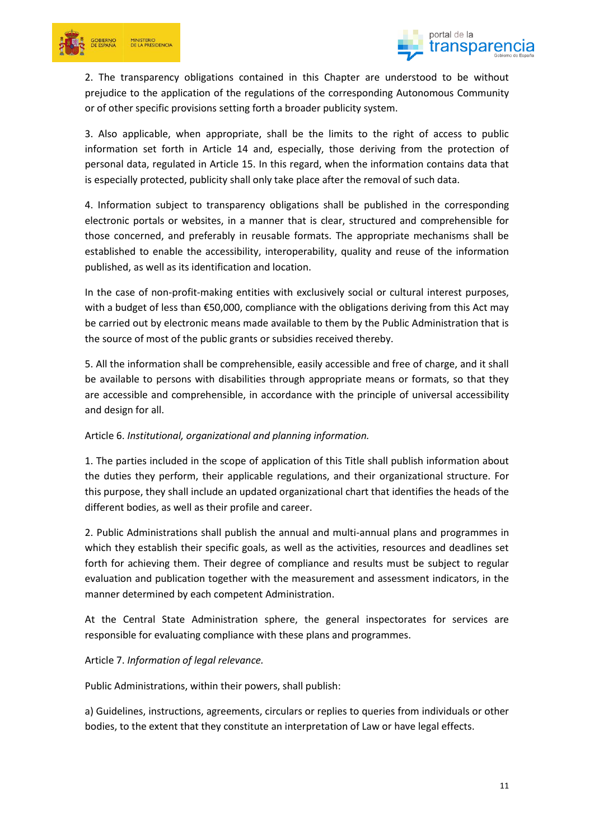



2. The transparency obligations contained in this Chapter are understood to be without prejudice to the application of the regulations of the corresponding Autonomous Community or of other specific provisions setting forth a broader publicity system.

3. Also applicable, when appropriate, shall be the limits to the right of access to public information set forth in Article 14 and, especially, those deriving from the protection of personal data, regulated in Article 15. In this regard, when the information contains data that is especially protected, publicity shall only take place after the removal of such data.

4. Information subject to transparency obligations shall be published in the corresponding electronic portals or websites, in a manner that is clear, structured and comprehensible for those concerned, and preferably in reusable formats. The appropriate mechanisms shall be established to enable the accessibility, interoperability, quality and reuse of the information published, as well as its identification and location.

In the case of non-profit-making entities with exclusively social or cultural interest purposes, with a budget of less than €50,000, compliance with the obligations deriving from this Act may be carried out by electronic means made available to them by the Public Administration that is the source of most of the public grants or subsidies received thereby.

5. All the information shall be comprehensible, easily accessible and free of charge, and it shall be available to persons with disabilities through appropriate means or formats, so that they are accessible and comprehensible, in accordance with the principle of universal accessibility and design for all.

## Article 6. *Institutional, organizational and planning information.*

1. The parties included in the scope of application of this Title shall publish information about the duties they perform, their applicable regulations, and their organizational structure. For this purpose, they shall include an updated organizational chart that identifies the heads of the different bodies, as well as their profile and career.

2. Public Administrations shall publish the annual and multi-annual plans and programmes in which they establish their specific goals, as well as the activities, resources and deadlines set forth for achieving them. Their degree of compliance and results must be subject to regular evaluation and publication together with the measurement and assessment indicators, in the manner determined by each competent Administration.

At the Central State Administration sphere, the general inspectorates for services are responsible for evaluating compliance with these plans and programmes.

## Article 7. *Information of legal relevance.*

Public Administrations, within their powers, shall publish:

a) Guidelines, instructions, agreements, circulars or replies to queries from individuals or other bodies, to the extent that they constitute an interpretation of Law or have legal effects.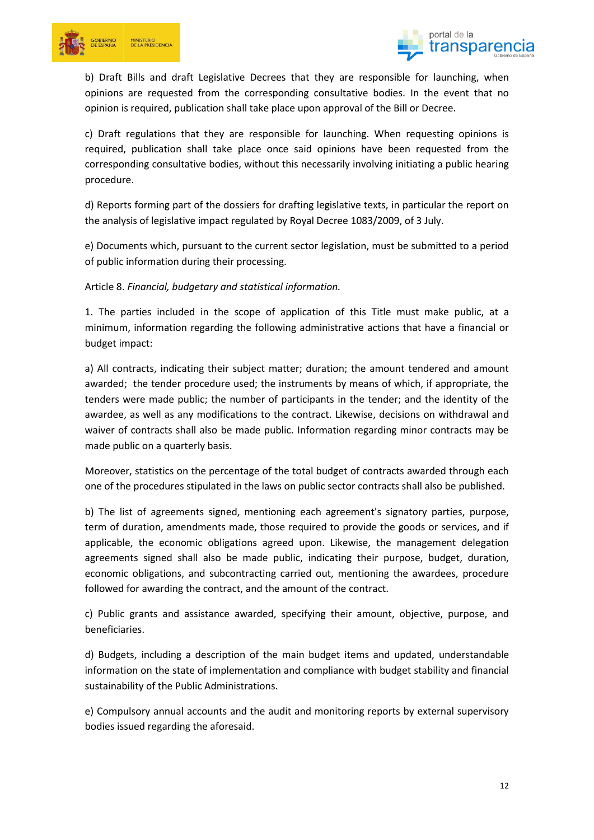



b) Draft Bills and draft Legislative Decrees that they are responsible for launching, when opinions are requested from the corresponding consultative bodies. In the event that no opinion is required, publication shall take place upon approval of the Bill or Decree.

c) Draft regulations that they are responsible for launching. When requesting opinions is required, publication shall take place once said opinions have been requested from the corresponding consultative bodies, without this necessarily involving initiating a public hearing procedure.

d) Reports forming part of the dossiers for drafting legislative texts, in particular the report on the analysis of legislative impact regulated by Royal Decree 1083/2009, of 3 July.

e) Documents which, pursuant to the current sector legislation, must be submitted to a period of public information during their processing.

Article 8. *Financial, budgetary and statistical information.*

1. The parties included in the scope of application of this Title must make public, at a minimum, information regarding the following administrative actions that have a financial or budget impact:

a) All contracts, indicating their subject matter; duration; the amount tendered and amount awarded; the tender procedure used; the instruments by means of which, if appropriate, the tenders were made public; the number of participants in the tender; and the identity of the awardee, as well as any modifications to the contract. Likewise, decisions on withdrawal and waiver of contracts shall also be made public. Information regarding minor contracts may be made public on a quarterly basis.

Moreover, statistics on the percentage of the total budget of contracts awarded through each one of the procedures stipulated in the laws on public sector contracts shall also be published.

b) The list of agreements signed, mentioning each agreement's signatory parties, purpose, term of duration, amendments made, those required to provide the goods or services, and if applicable, the economic obligations agreed upon. Likewise, the management delegation agreements signed shall also be made public, indicating their purpose, budget, duration, economic obligations, and subcontracting carried out, mentioning the awardees, procedure followed for awarding the contract, and the amount of the contract.

c) Public grants and assistance awarded, specifying their amount, objective, purpose, and beneficiaries.

d) Budgets, including a description of the main budget items and updated, understandable information on the state of implementation and compliance with budget stability and financial sustainability of the Public Administrations.

e) Compulsory annual accounts and the audit and monitoring reports by external supervisory bodies issued regarding the aforesaid.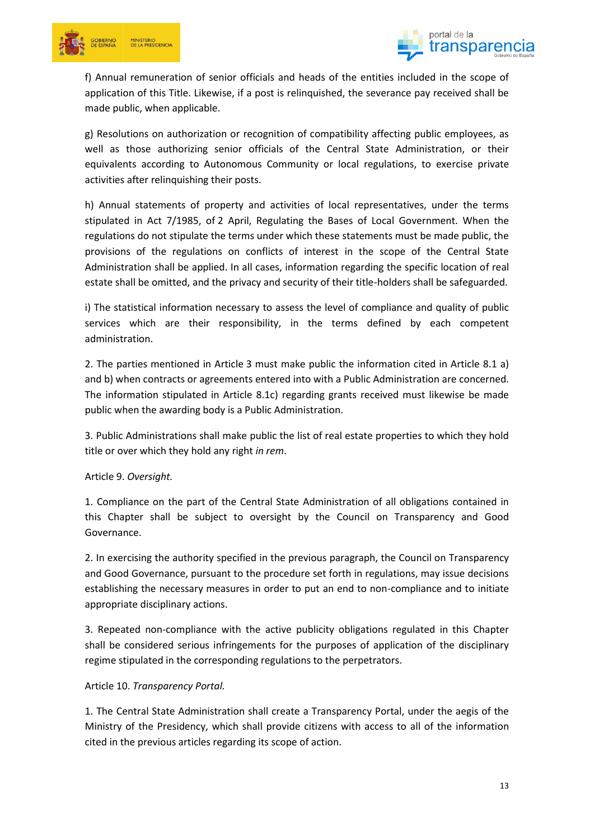



f) Annual remuneration of senior officials and heads of the entities included in the scope of application of this Title. Likewise, if a post is relinquished, the severance pay received shall be made public, when applicable.

g) Resolutions on authorization or recognition of compatibility affecting public employees, as well as those authorizing senior officials of the Central State Administration, or their equivalents according to Autonomous Community or local regulations, to exercise private activities after relinquishing their posts.

h) Annual statements of property and activities of local representatives, under the terms stipulated in Act 7/1985, of 2 April, Regulating the Bases of Local Government. When the regulations do not stipulate the terms under which these statements must be made public, the provisions of the regulations on conflicts of interest in the scope of the Central State Administration shall be applied. In all cases, information regarding the specific location of real estate shall be omitted, and the privacy and security of their title-holders shall be safeguarded.

i) The statistical information necessary to assess the level of compliance and quality of public services which are their responsibility, in the terms defined by each competent administration.

2. The parties mentioned in Article 3 must make public the information cited in Article 8.1 a) and b) when contracts or agreements entered into with a Public Administration are concerned. The information stipulated in Article 8.1c) regarding grants received must likewise be made public when the awarding body is a Public Administration.

3. Public Administrations shall make public the list of real estate properties to which they hold title or over which they hold any right *in rem*.

## Article 9. *Oversight.*

1. Compliance on the part of the Central State Administration of all obligations contained in this Chapter shall be subject to oversight by the Council on Transparency and Good Governance.

2. In exercising the authority specified in the previous paragraph, the Council on Transparency and Good Governance, pursuant to the procedure set forth in regulations, may issue decisions establishing the necessary measures in order to put an end to non-compliance and to initiate appropriate disciplinary actions.

3. Repeated non-compliance with the active publicity obligations regulated in this Chapter shall be considered serious infringements for the purposes of application of the disciplinary regime stipulated in the corresponding regulations to the perpetrators.

#### Article 10. *Transparency Portal.*

1. The Central State Administration shall create a Transparency Portal, under the aegis of the Ministry of the Presidency, which shall provide citizens with access to all of the information cited in the previous articles regarding its scope of action.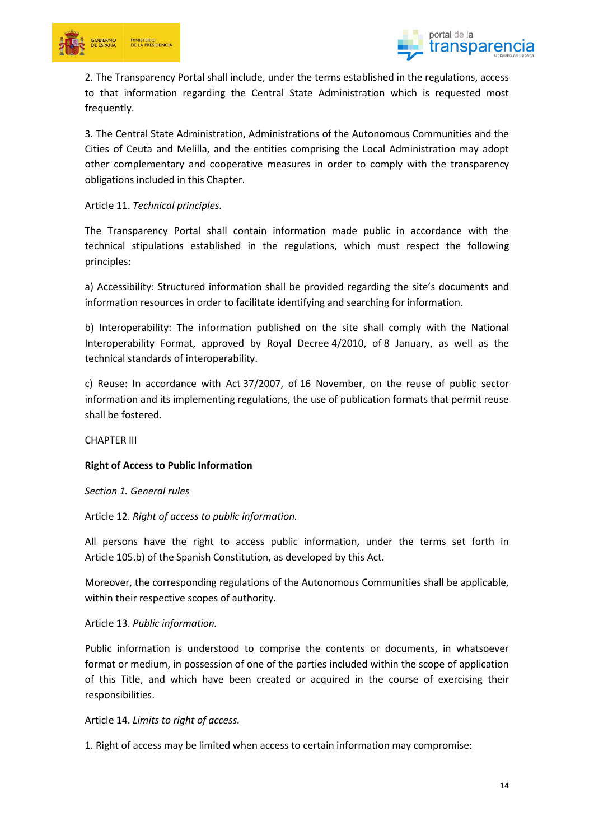



2. The Transparency Portal shall include, under the terms established in the regulations, access to that information regarding the Central State Administration which is requested most frequently.

3. The Central State Administration, Administrations of the Autonomous Communities and the Cities of Ceuta and Melilla, and the entities comprising the Local Administration may adopt other complementary and cooperative measures in order to comply with the transparency obligations included in this Chapter.

Article 11. *Technical principles.*

The Transparency Portal shall contain information made public in accordance with the technical stipulations established in the regulations, which must respect the following principles:

a) Accessibility: Structured information shall be provided regarding the site's documents and information resources in order to facilitate identifying and searching for information.

b) Interoperability: The information published on the site shall comply with the National Interoperability Format, approved by Royal Decree 4/2010, of 8 January, as well as the technical standards of interoperability.

c) Reuse: In accordance with Act 37/2007, of 16 November, on the reuse of public sector information and its implementing regulations, the use of publication formats that permit reuse shall be fostered.

CHAPTER III

## **Right of Access to Public Information**

*Section 1. General rules*

Article 12. *Right of access to public information.*

All persons have the right to access public information, under the terms set forth in Article 105.b) of the Spanish Constitution, as developed by this Act.

Moreover, the corresponding regulations of the Autonomous Communities shall be applicable, within their respective scopes of authority.

#### Article 13. *Public information.*

Public information is understood to comprise the contents or documents, in whatsoever format or medium, in possession of one of the parties included within the scope of application of this Title, and which have been created or acquired in the course of exercising their responsibilities.

Article 14. *Limits to right of access.*

1. Right of access may be limited when access to certain information may compromise: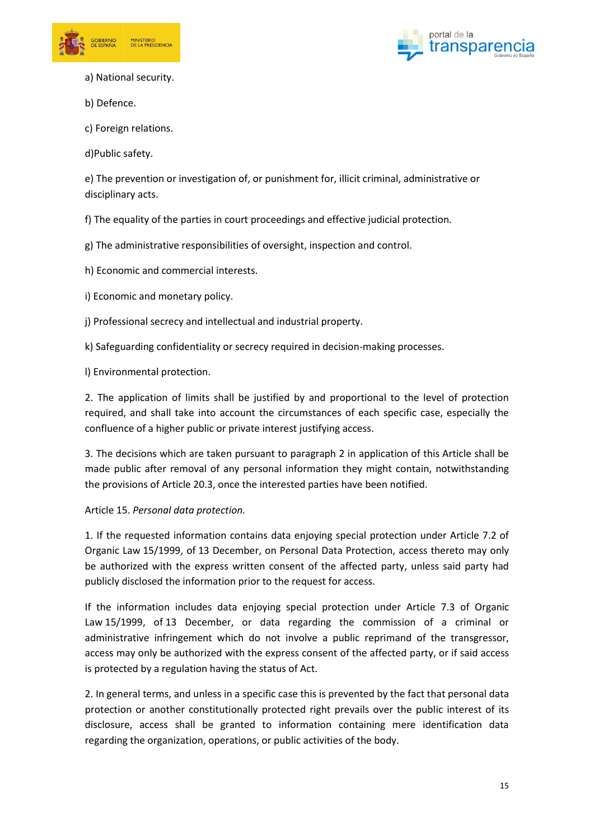



a) National security.

b) Defence.

c) Foreign relations.

d)Public safety.

e) The prevention or investigation of, or punishment for, illicit criminal, administrative or disciplinary acts.

f) The equality of the parties in court proceedings and effective judicial protection.

g) The administrative responsibilities of oversight, inspection and control.

h) Economic and commercial interests.

i) Economic and monetary policy.

j) Professional secrecy and intellectual and industrial property.

k) Safeguarding confidentiality or secrecy required in decision-making processes.

l) Environmental protection.

2. The application of limits shall be justified by and proportional to the level of protection required, and shall take into account the circumstances of each specific case, especially the confluence of a higher public or private interest justifying access.

3. The decisions which are taken pursuant to paragraph 2 in application of this Article shall be made public after removal of any personal information they might contain, notwithstanding the provisions of Article 20.3, once the interested parties have been notified.

Article 15. *Personal data protection.*

1. If the requested information contains data enjoying special protection under Article 7.2 of Organic Law 15/1999, of 13 December, on Personal Data Protection, access thereto may only be authorized with the express written consent of the affected party, unless said party had publicly disclosed the information prior to the request for access.

If the information includes data enjoying special protection under Article 7.3 of Organic Law 15/1999, of 13 December, or data regarding the commission of a criminal or administrative infringement which do not involve a public reprimand of the transgressor, access may only be authorized with the express consent of the affected party, or if said access is protected by a regulation having the status of Act.

2. In general terms, and unless in a specific case this is prevented by the fact that personal data protection or another constitutionally protected right prevails over the public interest of its disclosure, access shall be granted to information containing mere identification data regarding the organization, operations, or public activities of the body.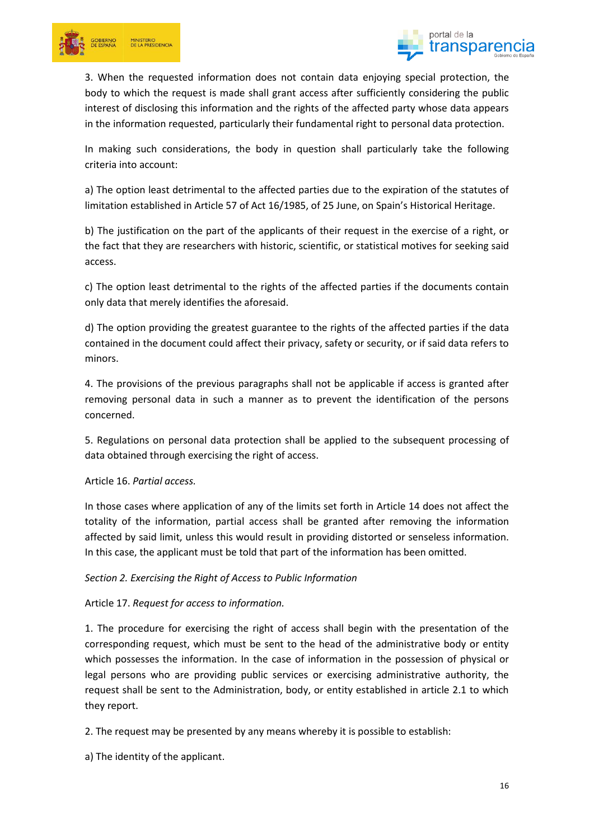



3. When the requested information does not contain data enjoying special protection, the body to which the request is made shall grant access after sufficiently considering the public interest of disclosing this information and the rights of the affected party whose data appears in the information requested, particularly their fundamental right to personal data protection.

In making such considerations, the body in question shall particularly take the following criteria into account:

a) The option least detrimental to the affected parties due to the expiration of the statutes of limitation established in Article 57 of Act 16/1985, of 25 June, on Spain's Historical Heritage.

b) The justification on the part of the applicants of their request in the exercise of a right, or the fact that they are researchers with historic, scientific, or statistical motives for seeking said access.

c) The option least detrimental to the rights of the affected parties if the documents contain only data that merely identifies the aforesaid.

d) The option providing the greatest guarantee to the rights of the affected parties if the data contained in the document could affect their privacy, safety or security, or if said data refers to minors.

4. The provisions of the previous paragraphs shall not be applicable if access is granted after removing personal data in such a manner as to prevent the identification of the persons concerned.

5. Regulations on personal data protection shall be applied to the subsequent processing of data obtained through exercising the right of access.

Article 16. *Partial access.*

In those cases where application of any of the limits set forth in Article 14 does not affect the totality of the information, partial access shall be granted after removing the information affected by said limit, unless this would result in providing distorted or senseless information. In this case, the applicant must be told that part of the information has been omitted.

*Section 2. Exercising the Right of Access to Public Information*

Article 17. *Request for access to information.*

1. The procedure for exercising the right of access shall begin with the presentation of the corresponding request, which must be sent to the head of the administrative body or entity which possesses the information. In the case of information in the possession of physical or legal persons who are providing public services or exercising administrative authority, the request shall be sent to the Administration, body, or entity established in article 2.1 to which they report.

2. The request may be presented by any means whereby it is possible to establish:

a) The identity of the applicant.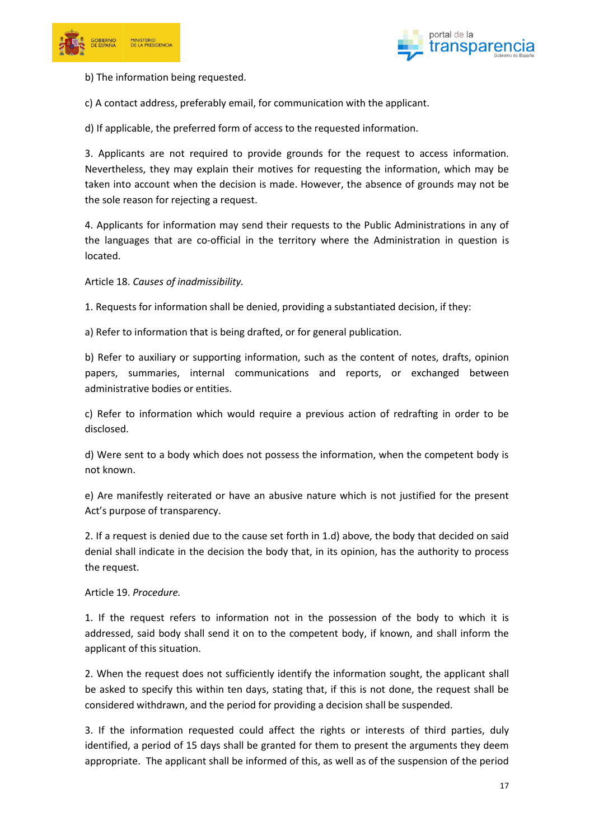



b) The information being requested.

c) A contact address, preferably email, for communication with the applicant.

d) If applicable, the preferred form of access to the requested information.

3. Applicants are not required to provide grounds for the request to access information. Nevertheless, they may explain their motives for requesting the information, which may be taken into account when the decision is made. However, the absence of grounds may not be the sole reason for rejecting a request.

4. Applicants for information may send their requests to the Public Administrations in any of the languages that are co-official in the territory where the Administration in question is located.

Article 18. *Causes of inadmissibility.*

1. Requests for information shall be denied, providing a substantiated decision, if they:

a) Refer to information that is being drafted, or for general publication.

b) Refer to auxiliary or supporting information, such as the content of notes, drafts, opinion papers, summaries, internal communications and reports, or exchanged between administrative bodies or entities.

c) Refer to information which would require a previous action of redrafting in order to be disclosed.

d) Were sent to a body which does not possess the information, when the competent body is not known.

e) Are manifestly reiterated or have an abusive nature which is not justified for the present Act's purpose of transparency.

2. If a request is denied due to the cause set forth in 1.d) above, the body that decided on said denial shall indicate in the decision the body that, in its opinion, has the authority to process the request.

#### Article 19. *Procedure.*

1. If the request refers to information not in the possession of the body to which it is addressed, said body shall send it on to the competent body, if known, and shall inform the applicant of this situation.

2. When the request does not sufficiently identify the information sought, the applicant shall be asked to specify this within ten days, stating that, if this is not done, the request shall be considered withdrawn, and the period for providing a decision shall be suspended.

3. If the information requested could affect the rights or interests of third parties, duly identified, a period of 15 days shall be granted for them to present the arguments they deem appropriate. The applicant shall be informed of this, as well as of the suspension of the period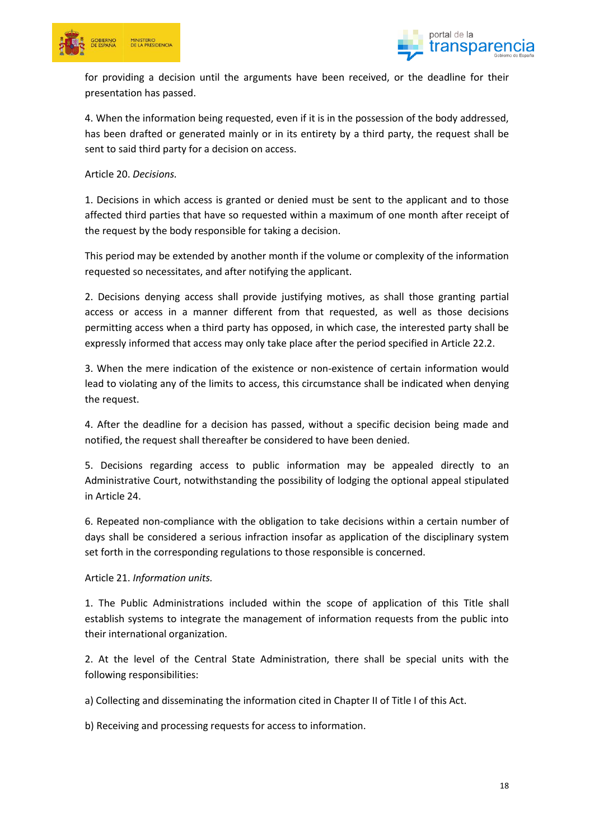



for providing a decision until the arguments have been received, or the deadline for their presentation has passed.

4. When the information being requested, even if it is in the possession of the body addressed, has been drafted or generated mainly or in its entirety by a third party, the request shall be sent to said third party for a decision on access.

Article 20. *Decisions.*

1. Decisions in which access is granted or denied must be sent to the applicant and to those affected third parties that have so requested within a maximum of one month after receipt of the request by the body responsible for taking a decision.

This period may be extended by another month if the volume or complexity of the information requested so necessitates, and after notifying the applicant.

2. Decisions denying access shall provide justifying motives, as shall those granting partial access or access in a manner different from that requested, as well as those decisions permitting access when a third party has opposed, in which case, the interested party shall be expressly informed that access may only take place after the period specified in Article 22.2.

3. When the mere indication of the existence or non-existence of certain information would lead to violating any of the limits to access, this circumstance shall be indicated when denying the request.

4. After the deadline for a decision has passed, without a specific decision being made and notified, the request shall thereafter be considered to have been denied.

5. Decisions regarding access to public information may be appealed directly to an Administrative Court, notwithstanding the possibility of lodging the optional appeal stipulated in Article 24.

6. Repeated non-compliance with the obligation to take decisions within a certain number of days shall be considered a serious infraction insofar as application of the disciplinary system set forth in the corresponding regulations to those responsible is concerned.

Article 21. *Information units.*

1. The Public Administrations included within the scope of application of this Title shall establish systems to integrate the management of information requests from the public into their international organization.

2. At the level of the Central State Administration, there shall be special units with the following responsibilities:

a) Collecting and disseminating the information cited in Chapter II of Title I of this Act.

b) Receiving and processing requests for access to information.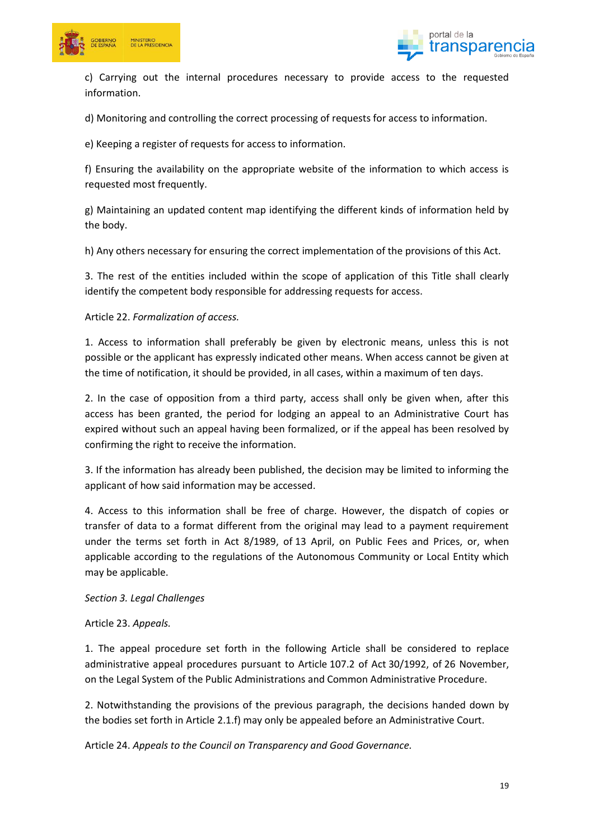



c) Carrying out the internal procedures necessary to provide access to the requested information.

d) Monitoring and controlling the correct processing of requests for access to information.

e) Keeping a register of requests for access to information.

f) Ensuring the availability on the appropriate website of the information to which access is requested most frequently.

g) Maintaining an updated content map identifying the different kinds of information held by the body.

h) Any others necessary for ensuring the correct implementation of the provisions of this Act.

3. The rest of the entities included within the scope of application of this Title shall clearly identify the competent body responsible for addressing requests for access.

## Article 22. *Formalization of access.*

1. Access to information shall preferably be given by electronic means, unless this is not possible or the applicant has expressly indicated other means. When access cannot be given at the time of notification, it should be provided, in all cases, within a maximum of ten days.

2. In the case of opposition from a third party, access shall only be given when, after this access has been granted, the period for lodging an appeal to an Administrative Court has expired without such an appeal having been formalized, or if the appeal has been resolved by confirming the right to receive the information.

3. If the information has already been published, the decision may be limited to informing the applicant of how said information may be accessed.

4. Access to this information shall be free of charge. However, the dispatch of copies or transfer of data to a format different from the original may lead to a payment requirement under the terms set forth in Act 8/1989, of 13 April, on Public Fees and Prices, or, when applicable according to the regulations of the Autonomous Community or Local Entity which may be applicable.

*Section 3. Legal Challenges*

Article 23. *Appeals.*

1. The appeal procedure set forth in the following Article shall be considered to replace administrative appeal procedures pursuant to Article 107.2 of Act 30/1992, of 26 November, on the Legal System of the Public Administrations and Common Administrative Procedure.

2. Notwithstanding the provisions of the previous paragraph, the decisions handed down by the bodies set forth in Article 2.1.f) may only be appealed before an Administrative Court.

Article 24. *Appeals to the Council on Transparency and Good Governance.*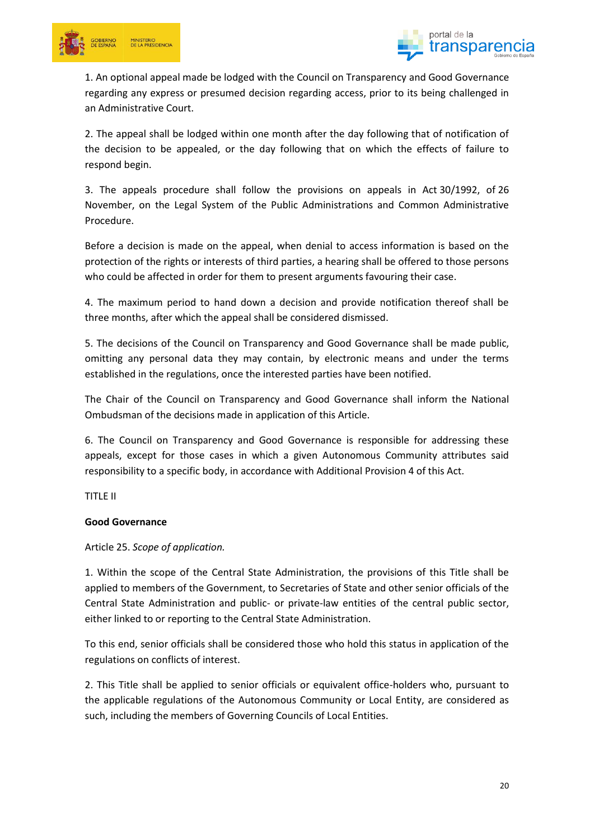



1. An optional appeal made be lodged with the Council on Transparency and Good Governance regarding any express or presumed decision regarding access, prior to its being challenged in an Administrative Court.

2. The appeal shall be lodged within one month after the day following that of notification of the decision to be appealed, or the day following that on which the effects of failure to respond begin.

3. The appeals procedure shall follow the provisions on appeals in Act 30/1992, of 26 November, on the Legal System of the Public Administrations and Common Administrative Procedure.

Before a decision is made on the appeal, when denial to access information is based on the protection of the rights or interests of third parties, a hearing shall be offered to those persons who could be affected in order for them to present arguments favouring their case.

4. The maximum period to hand down a decision and provide notification thereof shall be three months, after which the appeal shall be considered dismissed.

5. The decisions of the Council on Transparency and Good Governance shall be made public, omitting any personal data they may contain, by electronic means and under the terms established in the regulations, once the interested parties have been notified.

The Chair of the Council on Transparency and Good Governance shall inform the National Ombudsman of the decisions made in application of this Article.

6. The Council on Transparency and Good Governance is responsible for addressing these appeals, except for those cases in which a given Autonomous Community attributes said responsibility to a specific body, in accordance with Additional Provision 4 of this Act.

TITLE II

## **Good Governance**

Article 25. *Scope of application.*

1. Within the scope of the Central State Administration, the provisions of this Title shall be applied to members of the Government, to Secretaries of State and other senior officials of the Central State Administration and public- or private-law entities of the central public sector, either linked to or reporting to the Central State Administration.

To this end, senior officials shall be considered those who hold this status in application of the regulations on conflicts of interest.

2. This Title shall be applied to senior officials or equivalent office-holders who, pursuant to the applicable regulations of the Autonomous Community or Local Entity, are considered as such, including the members of Governing Councils of Local Entities.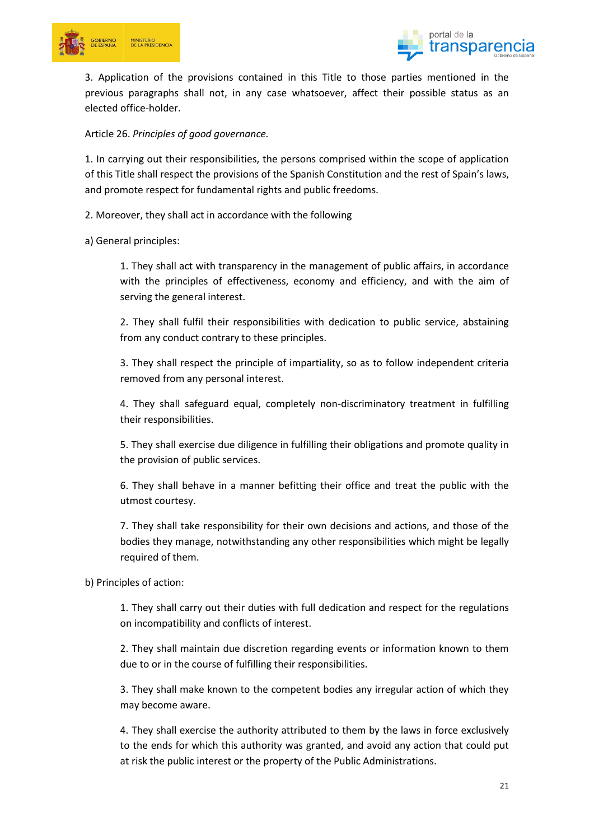



3. Application of the provisions contained in this Title to those parties mentioned in the previous paragraphs shall not, in any case whatsoever, affect their possible status as an elected office-holder.

Article 26. *Principles of good governance.*

1. In carrying out their responsibilities, the persons comprised within the scope of application of this Title shall respect the provisions of the Spanish Constitution and the rest of Spain's laws, and promote respect for fundamental rights and public freedoms.

2. Moreover, they shall act in accordance with the following

a) General principles:

1. They shall act with transparency in the management of public affairs, in accordance with the principles of effectiveness, economy and efficiency, and with the aim of serving the general interest.

2. They shall fulfil their responsibilities with dedication to public service, abstaining from any conduct contrary to these principles.

3. They shall respect the principle of impartiality, so as to follow independent criteria removed from any personal interest.

4. They shall safeguard equal, completely non-discriminatory treatment in fulfilling their responsibilities.

5. They shall exercise due diligence in fulfilling their obligations and promote quality in the provision of public services.

6. They shall behave in a manner befitting their office and treat the public with the utmost courtesy.

7. They shall take responsibility for their own decisions and actions, and those of the bodies they manage, notwithstanding any other responsibilities which might be legally required of them.

b) Principles of action:

1. They shall carry out their duties with full dedication and respect for the regulations on incompatibility and conflicts of interest.

2. They shall maintain due discretion regarding events or information known to them due to or in the course of fulfilling their responsibilities.

3. They shall make known to the competent bodies any irregular action of which they may become aware.

4. They shall exercise the authority attributed to them by the laws in force exclusively to the ends for which this authority was granted, and avoid any action that could put at risk the public interest or the property of the Public Administrations.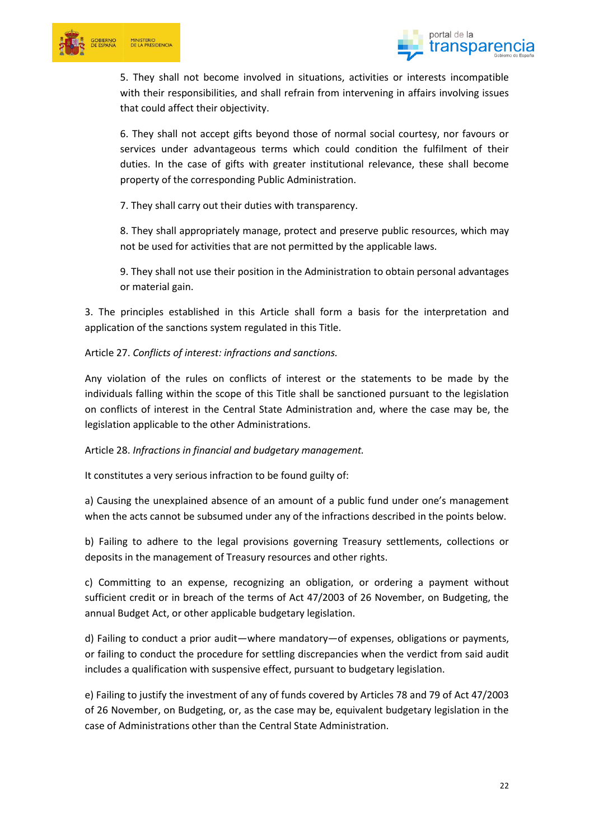



5. They shall not become involved in situations, activities or interests incompatible with their responsibilities, and shall refrain from intervening in affairs involving issues that could affect their objectivity.

6. They shall not accept gifts beyond those of normal social courtesy, nor favours or services under advantageous terms which could condition the fulfilment of their duties. In the case of gifts with greater institutional relevance, these shall become property of the corresponding Public Administration.

7. They shall carry out their duties with transparency.

8. They shall appropriately manage, protect and preserve public resources, which may not be used for activities that are not permitted by the applicable laws.

9. They shall not use their position in the Administration to obtain personal advantages or material gain.

3. The principles established in this Article shall form a basis for the interpretation and application of the sanctions system regulated in this Title.

Article 27. *Conflicts of interest: infractions and sanctions.*

Any violation of the rules on conflicts of interest or the statements to be made by the individuals falling within the scope of this Title shall be sanctioned pursuant to the legislation on conflicts of interest in the Central State Administration and, where the case may be, the legislation applicable to the other Administrations.

Article 28. *Infractions in financial and budgetary management.*

It constitutes a very serious infraction to be found guilty of:

a) Causing the unexplained absence of an amount of a public fund under one's management when the acts cannot be subsumed under any of the infractions described in the points below.

b) Failing to adhere to the legal provisions governing Treasury settlements, collections or deposits in the management of Treasury resources and other rights.

c) Committing to an expense, recognizing an obligation, or ordering a payment without sufficient credit or in breach of the terms of Act 47/2003 of 26 November, on Budgeting, the annual Budget Act, or other applicable budgetary legislation.

d) Failing to conduct a prior audit—where mandatory—of expenses, obligations or payments, or failing to conduct the procedure for settling discrepancies when the verdict from said audit includes a qualification with suspensive effect, pursuant to budgetary legislation.

e) Failing to justify the investment of any of funds covered by Articles 78 and 79 of Act 47/2003 of 26 November, on Budgeting, or, as the case may be, equivalent budgetary legislation in the case of Administrations other than the Central State Administration.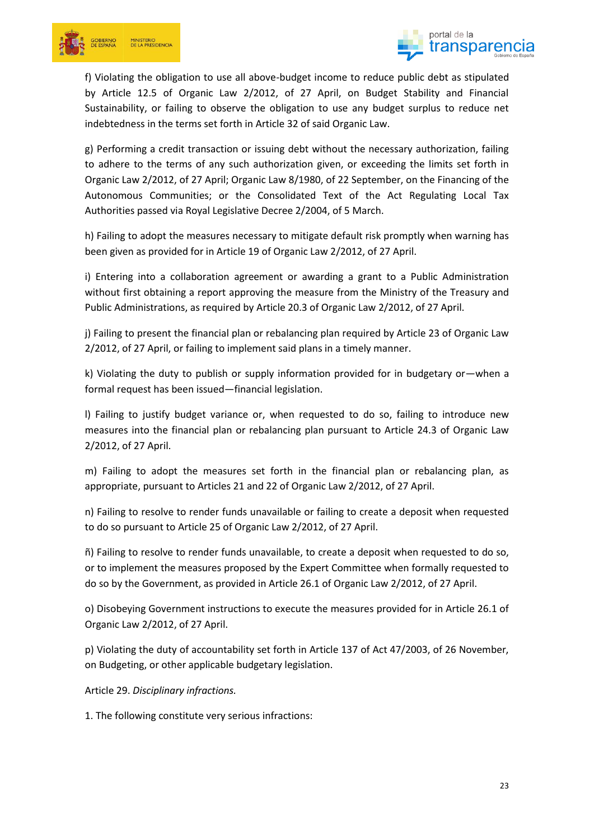



f) Violating the obligation to use all above-budget income to reduce public debt as stipulated by Article 12.5 of Organic Law 2/2012, of 27 April, on Budget Stability and Financial Sustainability, or failing to observe the obligation to use any budget surplus to reduce net indebtedness in the terms set forth in Article 32 of said Organic Law.

g) Performing a credit transaction or issuing debt without the necessary authorization, failing to adhere to the terms of any such authorization given, or exceeding the limits set forth in Organic Law 2/2012, of 27 April; Organic Law 8/1980, of 22 September, on the Financing of the Autonomous Communities; or the Consolidated Text of the Act Regulating Local Tax Authorities passed via Royal Legislative Decree 2/2004, of 5 March.

h) Failing to adopt the measures necessary to mitigate default risk promptly when warning has been given as provided for in Article 19 of Organic Law 2/2012, of 27 April.

i) Entering into a collaboration agreement or awarding a grant to a Public Administration without first obtaining a report approving the measure from the Ministry of the Treasury and Public Administrations, as required by Article 20.3 of Organic Law 2/2012, of 27 April.

j) Failing to present the financial plan or rebalancing plan required by Article 23 of Organic Law 2/2012, of 27 April, or failing to implement said plans in a timely manner.

k) Violating the duty to publish or supply information provided for in budgetary or—when a formal request has been issued—financial legislation.

l) Failing to justify budget variance or, when requested to do so, failing to introduce new measures into the financial plan or rebalancing plan pursuant to Article 24.3 of Organic Law 2/2012, of 27 April.

m) Failing to adopt the measures set forth in the financial plan or rebalancing plan, as appropriate, pursuant to Articles 21 and 22 of Organic Law 2/2012, of 27 April.

n) Failing to resolve to render funds unavailable or failing to create a deposit when requested to do so pursuant to Article 25 of Organic Law 2/2012, of 27 April.

ñ) Failing to resolve to render funds unavailable, to create a deposit when requested to do so, or to implement the measures proposed by the Expert Committee when formally requested to do so by the Government, as provided in Article 26.1 of Organic Law 2/2012, of 27 April.

o) Disobeying Government instructions to execute the measures provided for in Article 26.1 of Organic Law 2/2012, of 27 April.

p) Violating the duty of accountability set forth in Article 137 of Act 47/2003, of 26 November, on Budgeting, or other applicable budgetary legislation.

Article 29. *Disciplinary infractions.*

1. The following constitute very serious infractions: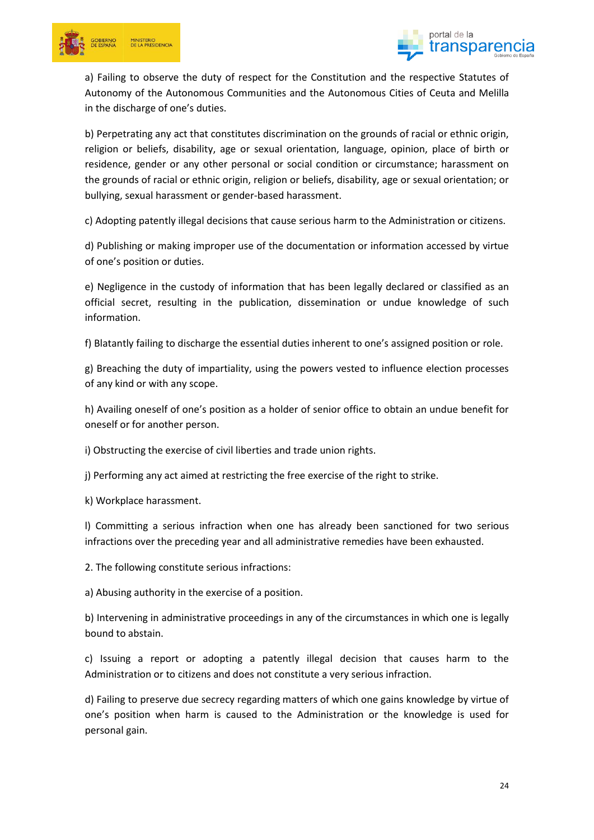



a) Failing to observe the duty of respect for the Constitution and the respective Statutes of Autonomy of the Autonomous Communities and the Autonomous Cities of Ceuta and Melilla in the discharge of one's duties.

b) Perpetrating any act that constitutes discrimination on the grounds of racial or ethnic origin, religion or beliefs, disability, age or sexual orientation, language, opinion, place of birth or residence, gender or any other personal or social condition or circumstance; harassment on the grounds of racial or ethnic origin, religion or beliefs, disability, age or sexual orientation; or bullying, sexual harassment or gender-based harassment.

c) Adopting patently illegal decisions that cause serious harm to the Administration or citizens.

d) Publishing or making improper use of the documentation or information accessed by virtue of one's position or duties.

e) Negligence in the custody of information that has been legally declared or classified as an official secret, resulting in the publication, dissemination or undue knowledge of such information.

f) Blatantly failing to discharge the essential duties inherent to one's assigned position or role.

g) Breaching the duty of impartiality, using the powers vested to influence election processes of any kind or with any scope.

h) Availing oneself of one's position as a holder of senior office to obtain an undue benefit for oneself or for another person.

i) Obstructing the exercise of civil liberties and trade union rights.

j) Performing any act aimed at restricting the free exercise of the right to strike.

k) Workplace harassment.

l) Committing a serious infraction when one has already been sanctioned for two serious infractions over the preceding year and all administrative remedies have been exhausted.

2. The following constitute serious infractions:

a) Abusing authority in the exercise of a position.

b) Intervening in administrative proceedings in any of the circumstances in which one is legally bound to abstain.

c) Issuing a report or adopting a patently illegal decision that causes harm to the Administration or to citizens and does not constitute a very serious infraction.

d) Failing to preserve due secrecy regarding matters of which one gains knowledge by virtue of one's position when harm is caused to the Administration or the knowledge is used for personal gain.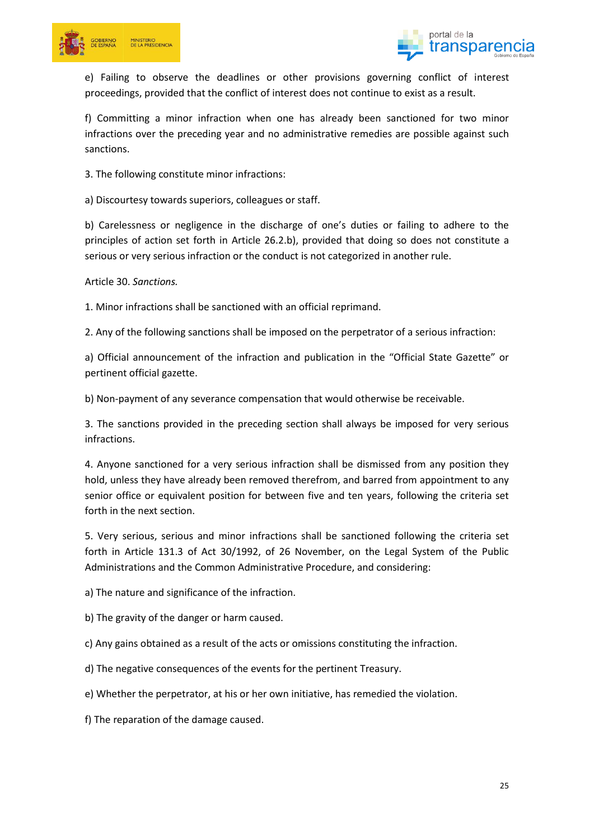



e) Failing to observe the deadlines or other provisions governing conflict of interest proceedings, provided that the conflict of interest does not continue to exist as a result.

f) Committing a minor infraction when one has already been sanctioned for two minor infractions over the preceding year and no administrative remedies are possible against such sanctions.

3. The following constitute minor infractions:

a) Discourtesy towards superiors, colleagues or staff.

b) Carelessness or negligence in the discharge of one's duties or failing to adhere to the principles of action set forth in Article 26.2.b), provided that doing so does not constitute a serious or very serious infraction or the conduct is not categorized in another rule.

Article 30. *Sanctions.*

1. Minor infractions shall be sanctioned with an official reprimand.

2. Any of the following sanctions shall be imposed on the perpetrator of a serious infraction:

a) Official announcement of the infraction and publication in the "Official State Gazette" or pertinent official gazette.

b) Non-payment of any severance compensation that would otherwise be receivable.

3. The sanctions provided in the preceding section shall always be imposed for very serious infractions.

4. Anyone sanctioned for a very serious infraction shall be dismissed from any position they hold, unless they have already been removed therefrom, and barred from appointment to any senior office or equivalent position for between five and ten years, following the criteria set forth in the next section.

5. Very serious, serious and minor infractions shall be sanctioned following the criteria set forth in Article 131.3 of Act 30/1992, of 26 November, on the Legal System of the Public Administrations and the Common Administrative Procedure, and considering:

a) The nature and significance of the infraction.

b) The gravity of the danger or harm caused.

c) Any gains obtained as a result of the acts or omissions constituting the infraction.

d) The negative consequences of the events for the pertinent Treasury.

e) Whether the perpetrator, at his or her own initiative, has remedied the violation.

f) The reparation of the damage caused.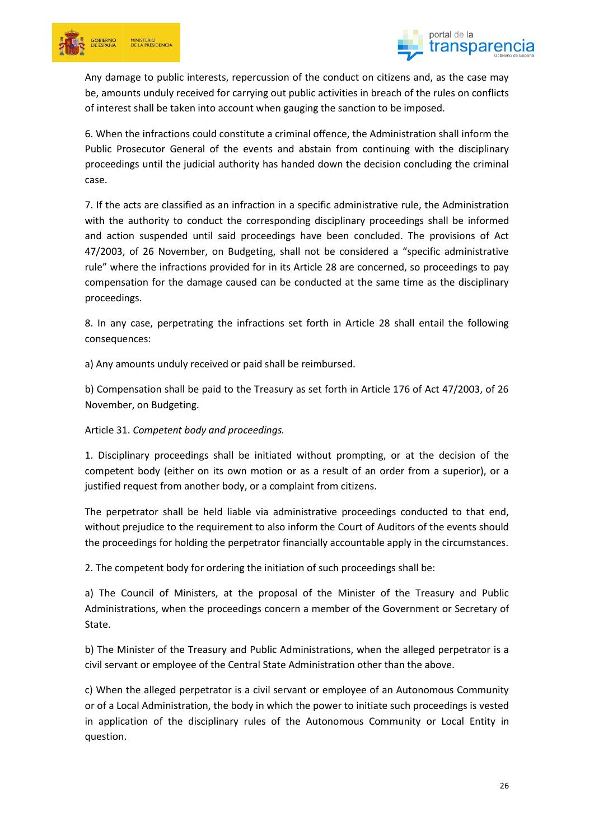



Any damage to public interests, repercussion of the conduct on citizens and, as the case may be, amounts unduly received for carrying out public activities in breach of the rules on conflicts of interest shall be taken into account when gauging the sanction to be imposed.

6. When the infractions could constitute a criminal offence, the Administration shall inform the Public Prosecutor General of the events and abstain from continuing with the disciplinary proceedings until the judicial authority has handed down the decision concluding the criminal case.

7. If the acts are classified as an infraction in a specific administrative rule, the Administration with the authority to conduct the corresponding disciplinary proceedings shall be informed and action suspended until said proceedings have been concluded. The provisions of Act 47/2003, of 26 November, on Budgeting, shall not be considered a "specific administrative rule" where the infractions provided for in its Article 28 are concerned, so proceedings to pay compensation for the damage caused can be conducted at the same time as the disciplinary proceedings.

8. In any case, perpetrating the infractions set forth in Article 28 shall entail the following consequences:

a) Any amounts unduly received or paid shall be reimbursed.

b) Compensation shall be paid to the Treasury as set forth in Article 176 of Act 47/2003, of 26 November, on Budgeting.

## Article 31. *Competent body and proceedings.*

1. Disciplinary proceedings shall be initiated without prompting, or at the decision of the competent body (either on its own motion or as a result of an order from a superior), or a justified request from another body, or a complaint from citizens.

The perpetrator shall be held liable via administrative proceedings conducted to that end, without prejudice to the requirement to also inform the Court of Auditors of the events should the proceedings for holding the perpetrator financially accountable apply in the circumstances.

2. The competent body for ordering the initiation of such proceedings shall be:

a) The Council of Ministers, at the proposal of the Minister of the Treasury and Public Administrations, when the proceedings concern a member of the Government or Secretary of State.

b) The Minister of the Treasury and Public Administrations, when the alleged perpetrator is a civil servant or employee of the Central State Administration other than the above.

c) When the alleged perpetrator is a civil servant or employee of an Autonomous Community or of a Local Administration, the body in which the power to initiate such proceedings is vested in application of the disciplinary rules of the Autonomous Community or Local Entity in question.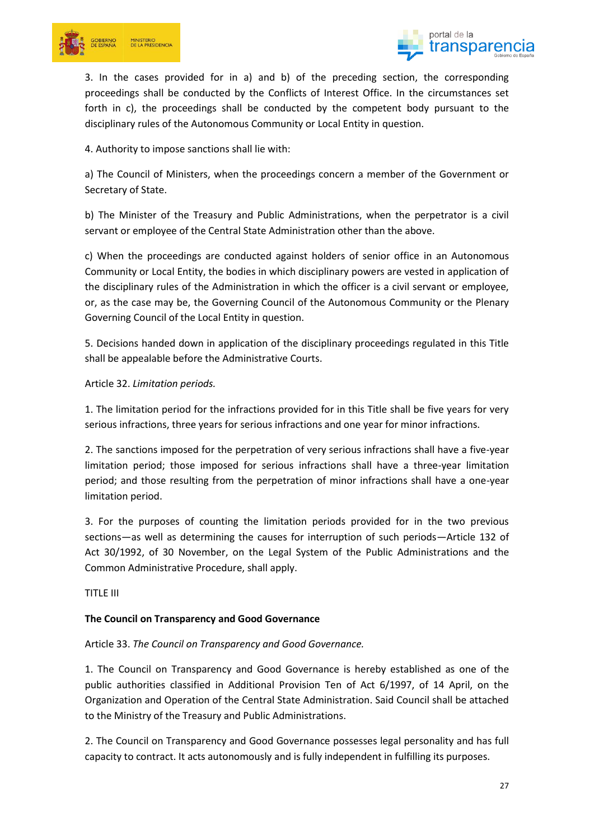



3. In the cases provided for in a) and b) of the preceding section, the corresponding proceedings shall be conducted by the Conflicts of Interest Office. In the circumstances set forth in c), the proceedings shall be conducted by the competent body pursuant to the disciplinary rules of the Autonomous Community or Local Entity in question.

4. Authority to impose sanctions shall lie with:

a) The Council of Ministers, when the proceedings concern a member of the Government or Secretary of State.

b) The Minister of the Treasury and Public Administrations, when the perpetrator is a civil servant or employee of the Central State Administration other than the above.

c) When the proceedings are conducted against holders of senior office in an Autonomous Community or Local Entity, the bodies in which disciplinary powers are vested in application of the disciplinary rules of the Administration in which the officer is a civil servant or employee, or, as the case may be, the Governing Council of the Autonomous Community or the Plenary Governing Council of the Local Entity in question.

5. Decisions handed down in application of the disciplinary proceedings regulated in this Title shall be appealable before the Administrative Courts.

### Article 32. *Limitation periods.*

1. The limitation period for the infractions provided for in this Title shall be five years for very serious infractions, three years for serious infractions and one year for minor infractions.

2. The sanctions imposed for the perpetration of very serious infractions shall have a five-year limitation period; those imposed for serious infractions shall have a three-year limitation period; and those resulting from the perpetration of minor infractions shall have a one-year limitation period.

3. For the purposes of counting the limitation periods provided for in the two previous sections—as well as determining the causes for interruption of such periods—Article 132 of Act 30/1992, of 30 November, on the Legal System of the Public Administrations and the Common Administrative Procedure, shall apply.

TITLE III

## **The Council on Transparency and Good Governance**

#### Article 33. *The Council on Transparency and Good Governance.*

1. The Council on Transparency and Good Governance is hereby established as one of the public authorities classified in Additional Provision Ten of Act 6/1997, of 14 April, on the Organization and Operation of the Central State Administration. Said Council shall be attached to the Ministry of the Treasury and Public Administrations.

2. The Council on Transparency and Good Governance possesses legal personality and has full capacity to contract. It acts autonomously and is fully independent in fulfilling its purposes.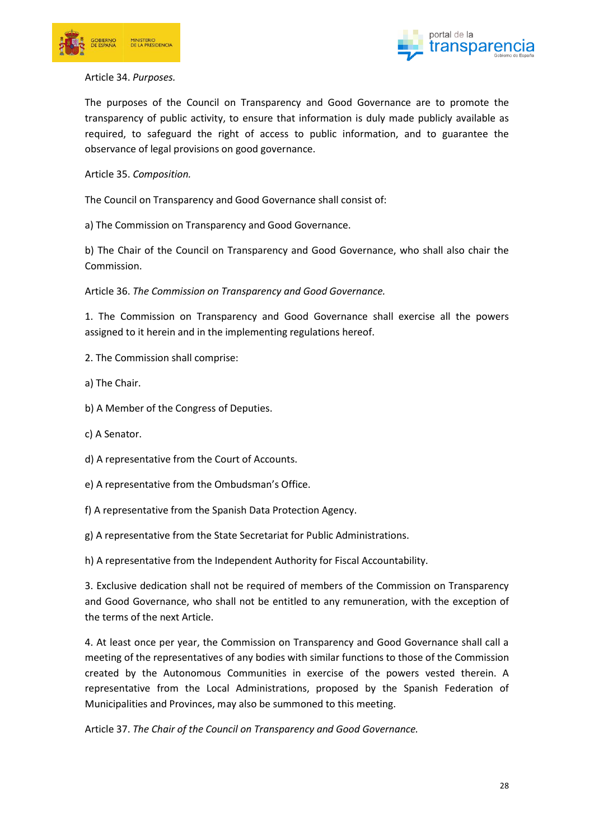



#### Article 34. *Purposes.*

The purposes of the Council on Transparency and Good Governance are to promote the transparency of public activity, to ensure that information is duly made publicly available as required, to safeguard the right of access to public information, and to guarantee the observance of legal provisions on good governance.

Article 35. *Composition.*

The Council on Transparency and Good Governance shall consist of:

a) The Commission on Transparency and Good Governance.

b) The Chair of the Council on Transparency and Good Governance, who shall also chair the Commission.

Article 36. *The Commission on Transparency and Good Governance.*

1. The Commission on Transparency and Good Governance shall exercise all the powers assigned to it herein and in the implementing regulations hereof.

- 2. The Commission shall comprise:
- a) The Chair.
- b) A Member of the Congress of Deputies.
- c) A Senator.
- d) A representative from the Court of Accounts.
- e) A representative from the Ombudsman's Office.
- f) A representative from the Spanish Data Protection Agency.
- g) A representative from the State Secretariat for Public Administrations.

h) A representative from the Independent Authority for Fiscal Accountability.

3. Exclusive dedication shall not be required of members of the Commission on Transparency and Good Governance, who shall not be entitled to any remuneration, with the exception of the terms of the next Article.

4. At least once per year, the Commission on Transparency and Good Governance shall call a meeting of the representatives of any bodies with similar functions to those of the Commission created by the Autonomous Communities in exercise of the powers vested therein. A representative from the Local Administrations, proposed by the Spanish Federation of Municipalities and Provinces, may also be summoned to this meeting.

Article 37. *The Chair of the Council on Transparency and Good Governance.*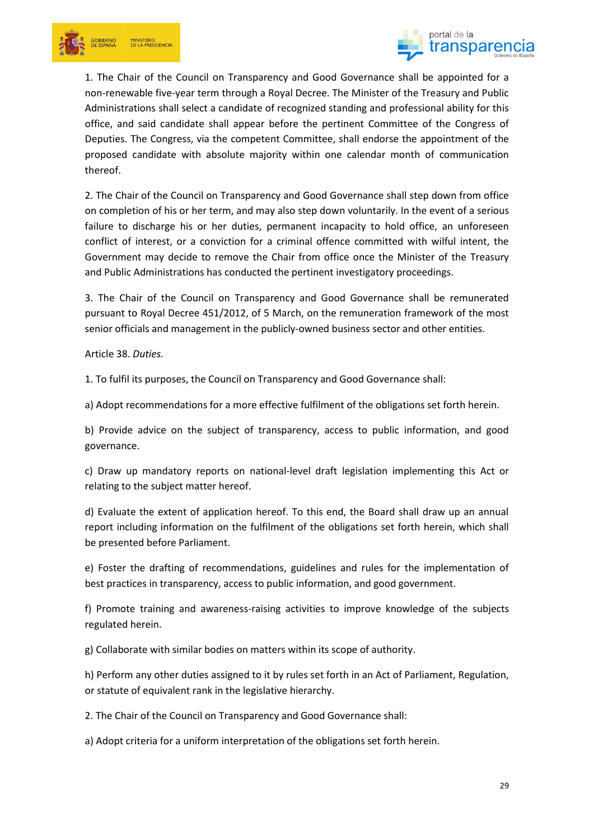



1. The Chair of the Council on Transparency and Good Governance shall be appointed for a non-renewable five-year term through a Royal Decree. The Minister of the Treasury and Public Administrations shall select a candidate of recognized standing and professional ability for this office, and said candidate shall appear before the pertinent Committee of the Congress of Deputies. The Congress, via the competent Committee, shall endorse the appointment of the proposed candidate with absolute majority within one calendar month of communication thereof.

2. The Chair of the Council on Transparency and Good Governance shall step down from office on completion of his or her term, and may also step down voluntarily. In the event of a serious failure to discharge his or her duties, permanent incapacity to hold office, an unforeseen conflict of interest, or a conviction for a criminal offence committed with wilful intent, the Government may decide to remove the Chair from office once the Minister of the Treasury and Public Administrations has conducted the pertinent investigatory proceedings.

3. The Chair of the Council on Transparency and Good Governance shall be remunerated pursuant to Royal Decree 451/2012, of 5 March, on the remuneration framework of the most senior officials and management in the publicly-owned business sector and other entities.

Article 38. *Duties.*

1. To fulfil its purposes, the Council on Transparency and Good Governance shall:

a) Adopt recommendations for a more effective fulfilment of the obligations set forth herein.

b) Provide advice on the subject of transparency, access to public information, and good governance.

c) Draw up mandatory reports on national-level draft legislation implementing this Act or relating to the subject matter hereof.

d) Evaluate the extent of application hereof. To this end, the Board shall draw up an annual report including information on the fulfilment of the obligations set forth herein, which shall be presented before Parliament.

e) Foster the drafting of recommendations, guidelines and rules for the implementation of best practices in transparency, access to public information, and good government.

f) Promote training and awareness-raising activities to improve knowledge of the subjects regulated herein.

g) Collaborate with similar bodies on matters within its scope of authority.

h) Perform any other duties assigned to it by rules set forth in an Act of Parliament, Regulation, or statute of equivalent rank in the legislative hierarchy.

2. The Chair of the Council on Transparency and Good Governance shall:

a) Adopt criteria for a uniform interpretation of the obligations set forth herein.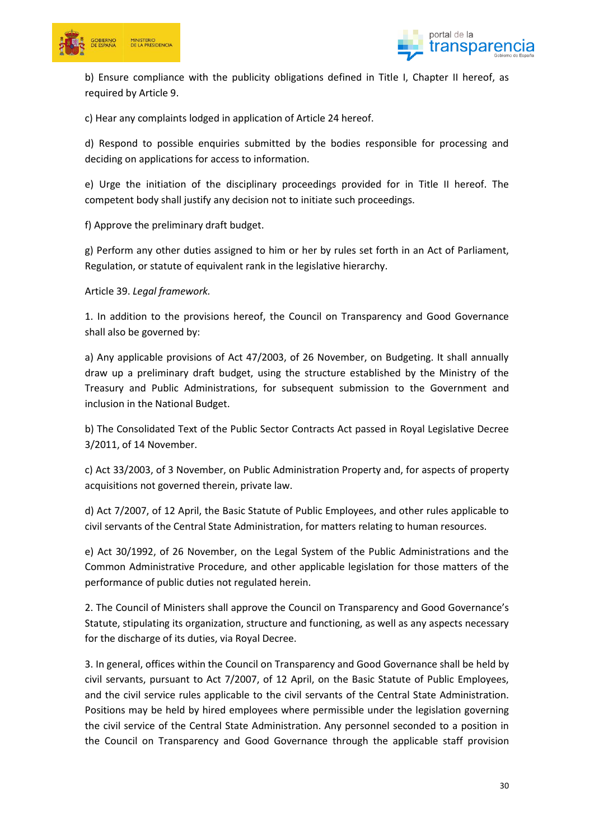



b) Ensure compliance with the publicity obligations defined in Title I, Chapter II hereof, as required by Article 9.

c) Hear any complaints lodged in application of Article 24 hereof.

d) Respond to possible enquiries submitted by the bodies responsible for processing and deciding on applications for access to information.

e) Urge the initiation of the disciplinary proceedings provided for in Title II hereof. The competent body shall justify any decision not to initiate such proceedings.

f) Approve the preliminary draft budget.

g) Perform any other duties assigned to him or her by rules set forth in an Act of Parliament, Regulation, or statute of equivalent rank in the legislative hierarchy.

Article 39. *Legal framework.*

1. In addition to the provisions hereof, the Council on Transparency and Good Governance shall also be governed by:

a) Any applicable provisions of Act 47/2003, of 26 November, on Budgeting. It shall annually draw up a preliminary draft budget, using the structure established by the Ministry of the Treasury and Public Administrations, for subsequent submission to the Government and inclusion in the National Budget.

b) The Consolidated Text of the Public Sector Contracts Act passed in Royal Legislative Decree 3/2011, of 14 November.

c) Act 33/2003, of 3 November, on Public Administration Property and, for aspects of property acquisitions not governed therein, private law.

d) Act 7/2007, of 12 April, the Basic Statute of Public Employees, and other rules applicable to civil servants of the Central State Administration, for matters relating to human resources.

e) Act 30/1992, of 26 November, on the Legal System of the Public Administrations and the Common Administrative Procedure, and other applicable legislation for those matters of the performance of public duties not regulated herein.

2. The Council of Ministers shall approve the Council on Transparency and Good Governance's Statute, stipulating its organization, structure and functioning, as well as any aspects necessary for the discharge of its duties, via Royal Decree.

3. In general, offices within the Council on Transparency and Good Governance shall be held by civil servants, pursuant to Act 7/2007, of 12 April, on the Basic Statute of Public Employees, and the civil service rules applicable to the civil servants of the Central State Administration. Positions may be held by hired employees where permissible under the legislation governing the civil service of the Central State Administration. Any personnel seconded to a position in the Council on Transparency and Good Governance through the applicable staff provision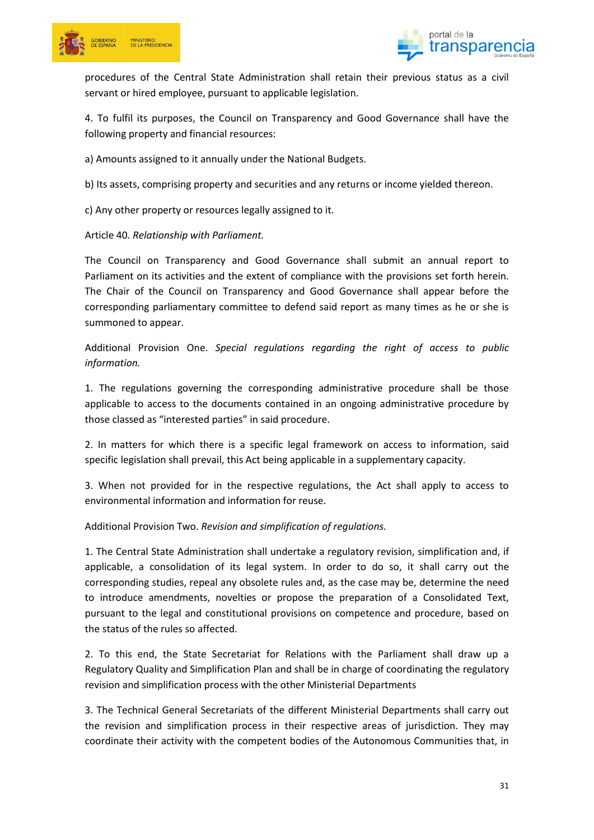



procedures of the Central State Administration shall retain their previous status as a civil servant or hired employee, pursuant to applicable legislation.

4. To fulfil its purposes, the Council on Transparency and Good Governance shall have the following property and financial resources:

a) Amounts assigned to it annually under the National Budgets.

b) Its assets, comprising property and securities and any returns or income yielded thereon.

c) Any other property or resources legally assigned to it.

Article 40. *Relationship with Parliament.*

The Council on Transparency and Good Governance shall submit an annual report to Parliament on its activities and the extent of compliance with the provisions set forth herein. The Chair of the Council on Transparency and Good Governance shall appear before the corresponding parliamentary committee to defend said report as many times as he or she is summoned to appear.

Additional Provision One. *Special regulations regarding the right of access to public information.*

1. The regulations governing the corresponding administrative procedure shall be those applicable to access to the documents contained in an ongoing administrative procedure by those classed as "interested parties" in said procedure.

2. In matters for which there is a specific legal framework on access to information, said specific legislation shall prevail, this Act being applicable in a supplementary capacity.

3. When not provided for in the respective regulations, the Act shall apply to access to environmental information and information for reuse.

Additional Provision Two. *Revision and simplification of regulations.*

1. The Central State Administration shall undertake a regulatory revision, simplification and, if applicable, a consolidation of its legal system. In order to do so, it shall carry out the corresponding studies, repeal any obsolete rules and, as the case may be, determine the need to introduce amendments, novelties or propose the preparation of a Consolidated Text, pursuant to the legal and constitutional provisions on competence and procedure, based on the status of the rules so affected.

2. To this end, the State Secretariat for Relations with the Parliament shall draw up a Regulatory Quality and Simplification Plan and shall be in charge of coordinating the regulatory revision and simplification process with the other Ministerial Departments

3. The Technical General Secretariats of the different Ministerial Departments shall carry out the revision and simplification process in their respective areas of jurisdiction. They may coordinate their activity with the competent bodies of the Autonomous Communities that, in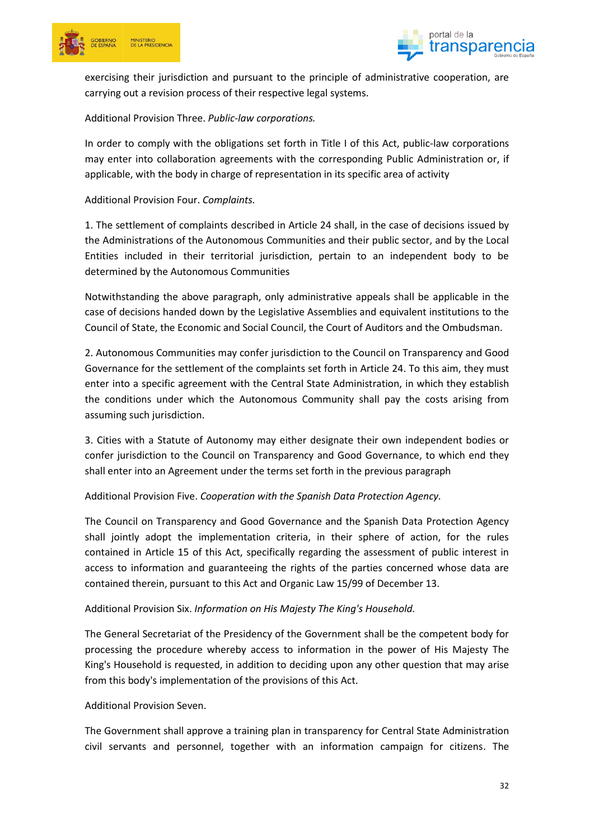



exercising their jurisdiction and pursuant to the principle of administrative cooperation, are carrying out a revision process of their respective legal systems.

### Additional Provision Three. *Public-law corporations.*

In order to comply with the obligations set forth in Title I of this Act, public-law corporations may enter into collaboration agreements with the corresponding Public Administration or, if applicable, with the body in charge of representation in its specific area of activity

### Additional Provision Four. *Complaints.*

1. The settlement of complaints described in Article 24 shall, in the case of decisions issued by the Administrations of the Autonomous Communities and their public sector, and by the Local Entities included in their territorial jurisdiction, pertain to an independent body to be determined by the Autonomous Communities

Notwithstanding the above paragraph, only administrative appeals shall be applicable in the case of decisions handed down by the Legislative Assemblies and equivalent institutions to the Council of State, the Economic and Social Council, the Court of Auditors and the Ombudsman.

2. Autonomous Communities may confer jurisdiction to the Council on Transparency and Good Governance for the settlement of the complaints set forth in Article 24. To this aim, they must enter into a specific agreement with the Central State Administration, in which they establish the conditions under which the Autonomous Community shall pay the costs arising from assuming such jurisdiction.

3. Cities with a Statute of Autonomy may either designate their own independent bodies or confer jurisdiction to the Council on Transparency and Good Governance, to which end they shall enter into an Agreement under the terms set forth in the previous paragraph

Additional Provision Five. *Cooperation with the Spanish Data Protection Agency.*

The Council on Transparency and Good Governance and the Spanish Data Protection Agency shall jointly adopt the implementation criteria, in their sphere of action, for the rules contained in Article 15 of this Act, specifically regarding the assessment of public interest in access to information and guaranteeing the rights of the parties concerned whose data are contained therein, pursuant to this Act and Organic Law 15/99 of December 13.

#### Additional Provision Six. *Information on His Majesty The King's Household.*

The General Secretariat of the Presidency of the Government shall be the competent body for processing the procedure whereby access to information in the power of His Majesty The King's Household is requested, in addition to deciding upon any other question that may arise from this body's implementation of the provisions of this Act.

#### Additional Provision Seven.

The Government shall approve a training plan in transparency for Central State Administration civil servants and personnel, together with an information campaign for citizens. The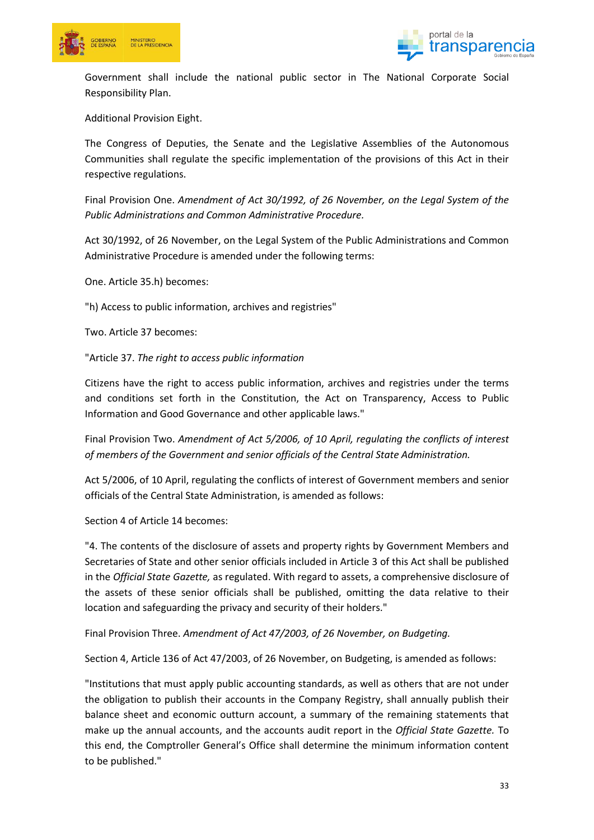



Government shall include the national public sector in The National Corporate Social Responsibility Plan.

Additional Provision Eight.

The Congress of Deputies, the Senate and the Legislative Assemblies of the Autonomous Communities shall regulate the specific implementation of the provisions of this Act in their respective regulations.

Final Provision One. *Amendment of Act 30/1992, of 26 November, on the Legal System of the Public Administrations and Common Administrative Procedure.*

Act 30/1992, of 26 November, on the Legal System of the Public Administrations and Common Administrative Procedure is amended under the following terms:

One. Article 35.h) becomes:

"h) Access to public information, archives and registries"

Two. Article 37 becomes:

"Article 37. *The right to access public information*

Citizens have the right to access public information, archives and registries under the terms and conditions set forth in the Constitution, the Act on Transparency, Access to Public Information and Good Governance and other applicable laws."

Final Provision Two. *Amendment of Act 5/2006, of 10 April, regulating the conflicts of interest of members of the Government and senior officials of the Central State Administration.*

Act 5/2006, of 10 April, regulating the conflicts of interest of Government members and senior officials of the Central State Administration, is amended as follows:

Section 4 of Article 14 becomes:

"4. The contents of the disclosure of assets and property rights by Government Members and Secretaries of State and other senior officials included in Article 3 of this Act shall be published in the *Official State Gazette,* as regulated. With regard to assets, a comprehensive disclosure of the assets of these senior officials shall be published, omitting the data relative to their location and safeguarding the privacy and security of their holders."

Final Provision Three. *Amendment of Act 47/2003, of 26 November, on Budgeting.*

Section 4, Article 136 of Act 47/2003, of 26 November, on Budgeting, is amended as follows:

"Institutions that must apply public accounting standards, as well as others that are not under the obligation to publish their accounts in the Company Registry, shall annually publish their balance sheet and economic outturn account, a summary of the remaining statements that make up the annual accounts, and the accounts audit report in the *Official State Gazette.* To this end, the Comptroller General's Office shall determine the minimum information content to be published."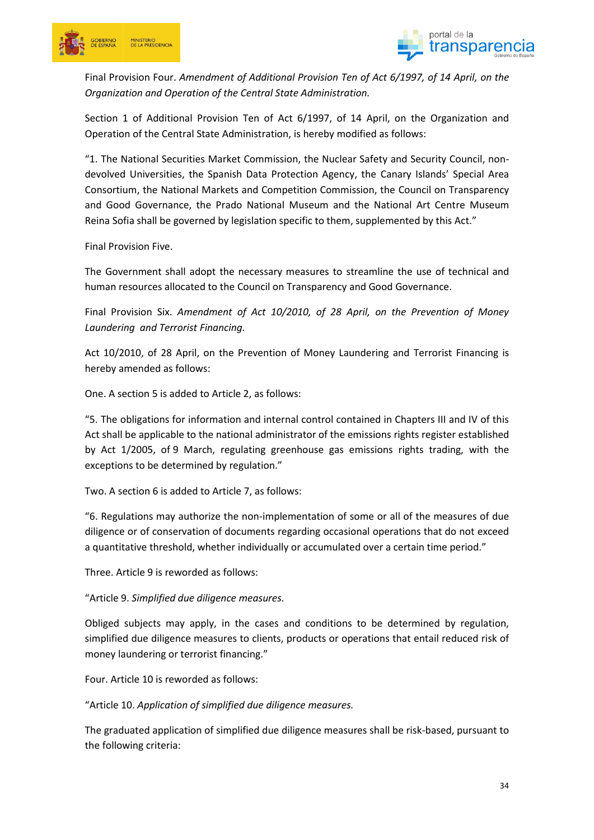



Final Provision Four. *Amendment of Additional Provision Ten of Act 6/1997, of 14 April, on the Organization and Operation of the Central State Administration.*

Section 1 of Additional Provision Ten of Act 6/1997, of 14 April, on the Organization and Operation of the Central State Administration, is hereby modified as follows:

"1. The National Securities Market Commission, the Nuclear Safety and Security Council, nondevolved Universities, the Spanish Data Protection Agency, the Canary Islands' Special Area Consortium, the National Markets and Competition Commission, the Council on Transparency and Good Governance, the Prado National Museum and the National Art Centre Museum Reina Sofia shall be governed by legislation specific to them, supplemented by this Act."

Final Provision Five.

The Government shall adopt the necessary measures to streamline the use of technical and human resources allocated to the Council on Transparency and Good Governance.

Final Provision Six. *Amendment of Act 10/2010, of 28 April, on the Prevention of Money Laundering and Terrorist Financing.*

Act 10/2010, of 28 April, on the Prevention of Money Laundering and Terrorist Financing is hereby amended as follows:

One. A section 5 is added to Article 2, as follows:

"5. The obligations for information and internal control contained in Chapters III and IV of this Act shall be applicable to the national administrator of the emissions rights register established by Act 1/2005, of 9 March, regulating greenhouse gas emissions rights trading, with the exceptions to be determined by regulation."

Two. A section 6 is added to Article 7, as follows:

"6. Regulations may authorize the non-implementation of some or all of the measures of due diligence or of conservation of documents regarding occasional operations that do not exceed a quantitative threshold, whether individually or accumulated over a certain time period."

Three. Article 9 is reworded as follows:

"Article 9. *Simplified due diligence measures.*

Obliged subjects may apply, in the cases and conditions to be determined by regulation, simplified due diligence measures to clients, products or operations that entail reduced risk of money laundering or terrorist financing."

Four. Article 10 is reworded as follows:

"Article 10. *Application of simplified due diligence measures.*

The graduated application of simplified due diligence measures shall be risk-based, pursuant to the following criteria: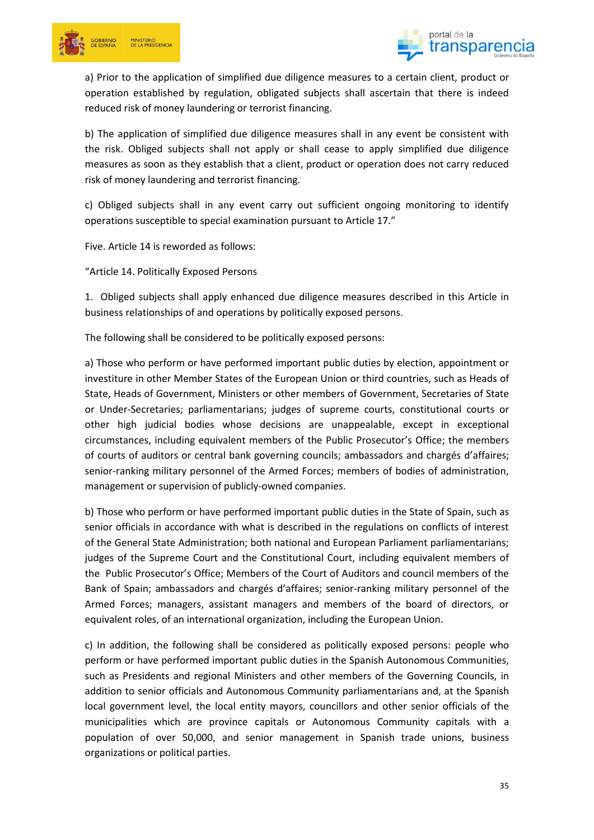



a) Prior to the application of simplified due diligence measures to a certain client, product or operation established by regulation, obligated subjects shall ascertain that there is indeed reduced risk of money laundering or terrorist financing.

b) The application of simplified due diligence measures shall in any event be consistent with the risk. Obliged subjects shall not apply or shall cease to apply simplified due diligence measures as soon as they establish that a client, product or operation does not carry reduced risk of money laundering and terrorist financing.

c) Obliged subjects shall in any event carry out sufficient ongoing monitoring to identify operations susceptible to special examination pursuant to Article 17."

Five. Article 14 is reworded as follows:

"Article 14. Politically Exposed Persons

1. Obliged subjects shall apply enhanced due diligence measures described in this Article in business relationships of and operations by politically exposed persons.

The following shall be considered to be politically exposed persons:

a) Those who perform or have performed important public duties by election, appointment or investiture in other Member States of the European Union or third countries, such as Heads of State, Heads of Government, Ministers or other members of Government, Secretaries of State or Under-Secretaries; parliamentarians; judges of supreme courts, constitutional courts or other high judicial bodies whose decisions are unappealable, except in exceptional circumstances, including equivalent members of the Public Prosecutor's Office; the members of courts of auditors or central bank governing councils; ambassadors and chargés d'affaires; senior-ranking military personnel of the Armed Forces; members of bodies of administration, management or supervision of publicly-owned companies.

b) Those who perform or have performed important public duties in the State of Spain, such as senior officials in accordance with what is described in the regulations on conflicts of interest of the General State Administration; both national and European Parliament parliamentarians; judges of the Supreme Court and the Constitutional Court, including equivalent members of the Public Prosecutor's Office; Members of the Court of Auditors and council members of the Bank of Spain; ambassadors and chargés d'affaires; senior-ranking military personnel of the Armed Forces; managers, assistant managers and members of the board of directors, or equivalent roles, of an international organization, including the European Union.

c) In addition, the following shall be considered as politically exposed persons: people who perform or have performed important public duties in the Spanish Autonomous Communities, such as Presidents and regional Ministers and other members of the Governing Councils, in addition to senior officials and Autonomous Community parliamentarians and, at the Spanish local government level, the local entity mayors, councillors and other senior officials of the municipalities which are province capitals or Autonomous Community capitals with a population of over 50,000, and senior management in Spanish trade unions, business organizations or political parties.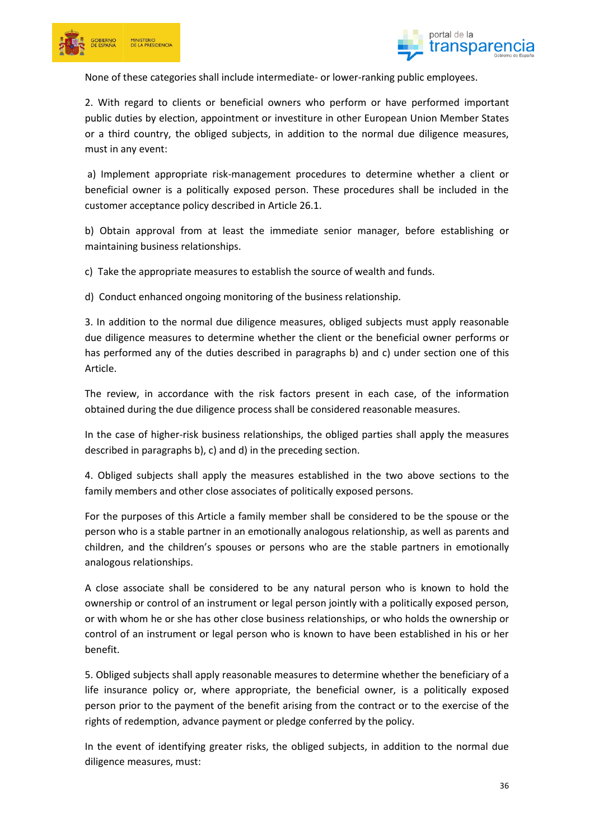



None of these categories shall include intermediate- or lower-ranking public employees.

2. With regard to clients or beneficial owners who perform or have performed important public duties by election, appointment or investiture in other European Union Member States or a third country, the obliged subjects, in addition to the normal due diligence measures, must in any event:

a) Implement appropriate risk-management procedures to determine whether a client or beneficial owner is a politically exposed person. These procedures shall be included in the customer acceptance policy described in Article 26.1.

b) Obtain approval from at least the immediate senior manager, before establishing or maintaining business relationships.

c) Take the appropriate measures to establish the source of wealth and funds.

d) Conduct enhanced ongoing monitoring of the business relationship.

3. In addition to the normal due diligence measures, obliged subjects must apply reasonable due diligence measures to determine whether the client or the beneficial owner performs or has performed any of the duties described in paragraphs b) and c) under section one of this Article.

The review, in accordance with the risk factors present in each case, of the information obtained during the due diligence process shall be considered reasonable measures.

In the case of higher-risk business relationships, the obliged parties shall apply the measures described in paragraphs b), c) and d) in the preceding section.

4. Obliged subjects shall apply the measures established in the two above sections to the family members and other close associates of politically exposed persons.

For the purposes of this Article a family member shall be considered to be the spouse or the person who is a stable partner in an emotionally analogous relationship, as well as parents and children, and the children's spouses or persons who are the stable partners in emotionally analogous relationships.

A close associate shall be considered to be any natural person who is known to hold the ownership or control of an instrument or legal person jointly with a politically exposed person, or with whom he or she has other close business relationships, or who holds the ownership or control of an instrument or legal person who is known to have been established in his or her benefit.

5. Obliged subjects shall apply reasonable measures to determine whether the beneficiary of a life insurance policy or, where appropriate, the beneficial owner, is a politically exposed person prior to the payment of the benefit arising from the contract or to the exercise of the rights of redemption, advance payment or pledge conferred by the policy.

In the event of identifying greater risks, the obliged subjects, in addition to the normal due diligence measures, must: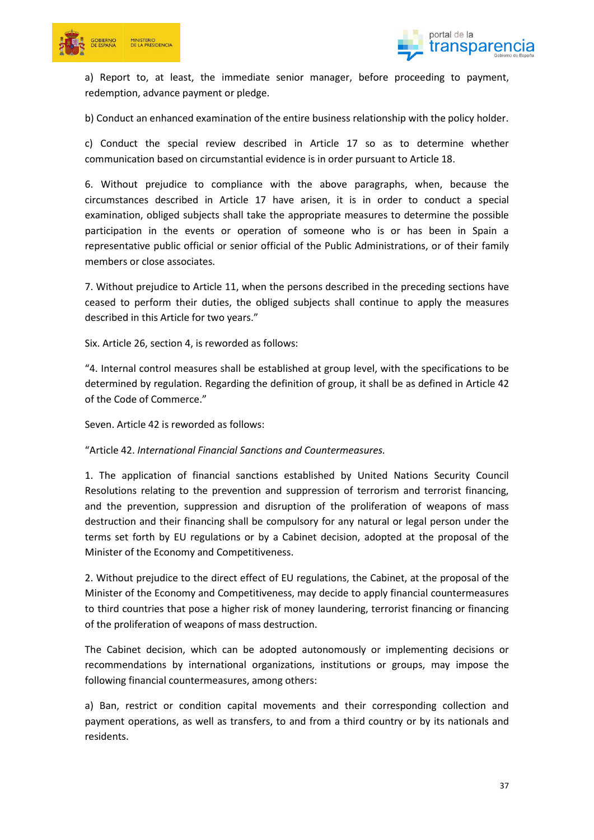



a) Report to, at least, the immediate senior manager, before proceeding to payment, redemption, advance payment or pledge.

b) Conduct an enhanced examination of the entire business relationship with the policy holder.

c) Conduct the special review described in Article 17 so as to determine whether communication based on circumstantial evidence is in order pursuant to Article 18.

6. Without prejudice to compliance with the above paragraphs, when, because the circumstances described in Article 17 have arisen, it is in order to conduct a special examination, obliged subjects shall take the appropriate measures to determine the possible participation in the events or operation of someone who is or has been in Spain a representative public official or senior official of the Public Administrations, or of their family members or close associates.

7. Without prejudice to Article 11, when the persons described in the preceding sections have ceased to perform their duties, the obliged subjects shall continue to apply the measures described in this Article for two years."

Six. Article 26, section 4, is reworded as follows:

"4. Internal control measures shall be established at group level, with the specifications to be determined by regulation. Regarding the definition of group, it shall be as defined in Article 42 of the Code of Commerce."

Seven. Article 42 is reworded as follows:

"Article 42. *International Financial Sanctions and Countermeasures.*

1. The application of financial sanctions established by United Nations Security Council Resolutions relating to the prevention and suppression of terrorism and terrorist financing, and the prevention, suppression and disruption of the proliferation of weapons of mass destruction and their financing shall be compulsory for any natural or legal person under the terms set forth by EU regulations or by a Cabinet decision, adopted at the proposal of the Minister of the Economy and Competitiveness.

2. Without prejudice to the direct effect of EU regulations, the Cabinet, at the proposal of the Minister of the Economy and Competitiveness, may decide to apply financial countermeasures to third countries that pose a higher risk of money laundering, terrorist financing or financing of the proliferation of weapons of mass destruction.

The Cabinet decision, which can be adopted autonomously or implementing decisions or recommendations by international organizations, institutions or groups, may impose the following financial countermeasures, among others:

a) Ban, restrict or condition capital movements and their corresponding collection and payment operations, as well as transfers, to and from a third country or by its nationals and residents.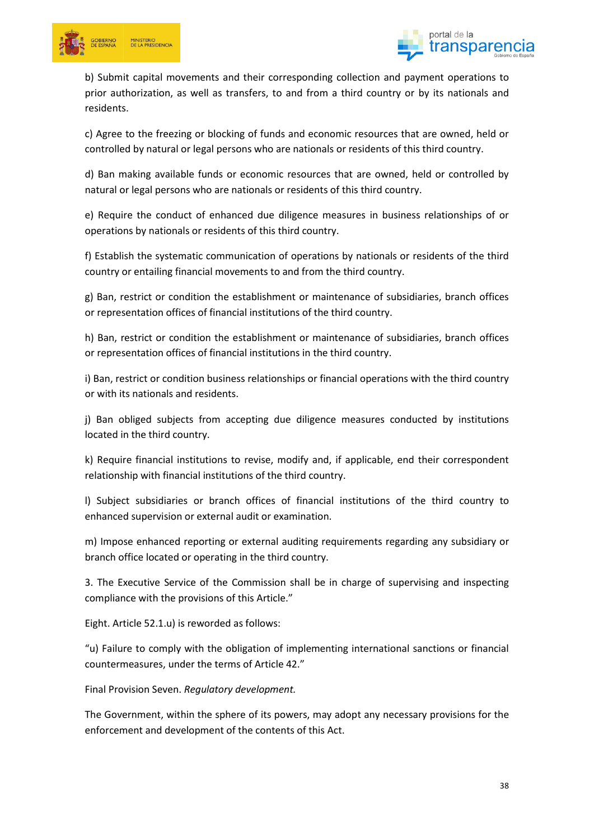



b) Submit capital movements and their corresponding collection and payment operations to prior authorization, as well as transfers, to and from a third country or by its nationals and residents.

c) Agree to the freezing or blocking of funds and economic resources that are owned, held or controlled by natural or legal persons who are nationals or residents of this third country.

d) Ban making available funds or economic resources that are owned, held or controlled by natural or legal persons who are nationals or residents of this third country.

e) Require the conduct of enhanced due diligence measures in business relationships of or operations by nationals or residents of this third country.

f) Establish the systematic communication of operations by nationals or residents of the third country or entailing financial movements to and from the third country.

g) Ban, restrict or condition the establishment or maintenance of subsidiaries, branch offices or representation offices of financial institutions of the third country.

h) Ban, restrict or condition the establishment or maintenance of subsidiaries, branch offices or representation offices of financial institutions in the third country.

i) Ban, restrict or condition business relationships or financial operations with the third country or with its nationals and residents.

j) Ban obliged subjects from accepting due diligence measures conducted by institutions located in the third country.

k) Require financial institutions to revise, modify and, if applicable, end their correspondent relationship with financial institutions of the third country.

l) Subject subsidiaries or branch offices of financial institutions of the third country to enhanced supervision or external audit or examination.

m) Impose enhanced reporting or external auditing requirements regarding any subsidiary or branch office located or operating in the third country.

3. The Executive Service of the Commission shall be in charge of supervising and inspecting compliance with the provisions of this Article."

Eight. Article 52.1.u) is reworded as follows:

"u) Failure to comply with the obligation of implementing international sanctions or financial countermeasures, under the terms of Article 42."

Final Provision Seven. *Regulatory development.*

The Government, within the sphere of its powers, may adopt any necessary provisions for the enforcement and development of the contents of this Act.